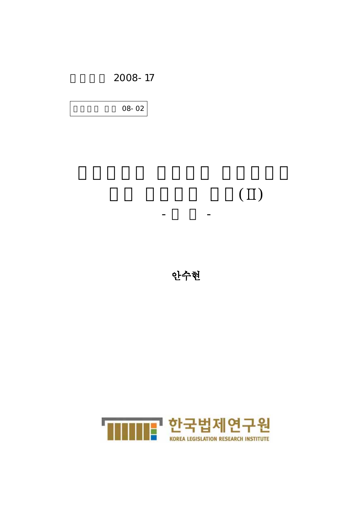2008-17

1 08-02

 $(\Pi)$ 

안수현

 $\overline{\phantom{a}}$ 

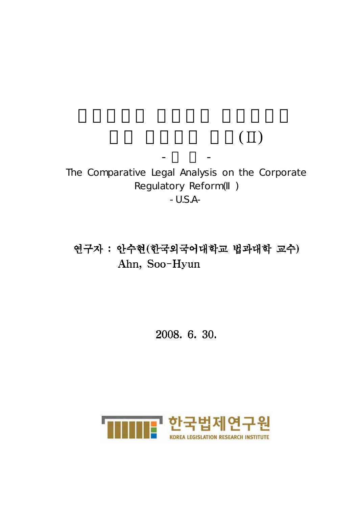# $(\Pi)$

The Comparative Legal Analysis on the Corporate Regulatory Reform()  $-$  U.S.A-

- -

# 연구자 : 안수현(한국외국어대학교 법과대학 교수) Ahn, Soo-Hyun

# 2008. 6. 30.

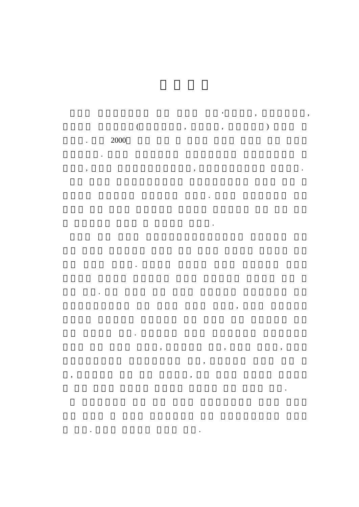

,

,

,

,

,

 $\cdot$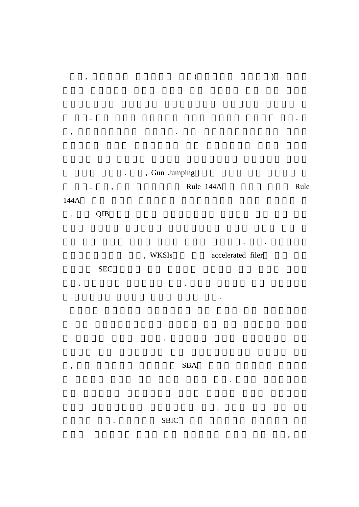. , Gun Jumping . , Rule 144A Rule 144A

. .

 $\ddot{\phantom{a}}$ 

, where  $($  )

. QIB

, .

. , , WKSIs accelerated filer

.

.

,

,

SEC

, ,

,  ${\bf SBA}$ 

. SBIC

.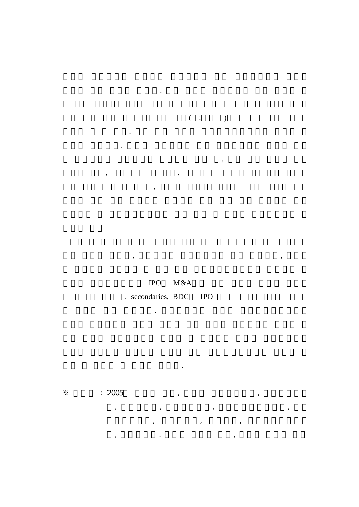$($  : )

, ,

,

IPOM&A

, ,

,

.

.

.

.

. secondaries, BDC IPO

.

 $\,$ ,  $\,$ ,  $\,$ ,  $\,$ ,  $\,$ ,  $\,$ ,  $\,$ ,  $\,$ ,  $\,$ ,  $\,$ ,  $\,$ ,  $\,$ ,  $\,$ ,  $\,$ ,  $\,$ ,  $\,$ ,  $\,$ ,  $\,$ ,  $\,$ ,  $\,$ ,  $\,$ ,  $\,$ ,  $\,$ ,  $\,$ ,  $\,$ ,  $\,$ ,  $\,$ ,  $\,$ ,  $\,$ ,  $\,$ ,  $\,$ ,  $\,$ ,  $\,$ ,  $\,$ ,  $\,$ ,  $\,$ ,  $\,$ ,  $\,$ ,  $\,$ ,  $\,$ ,  $\,$ ,  $\,$ ,  $\,$ ,  $\,$ ,  $\,$ ,  $\,$ ,  $\,$ ,  $\,$ ,  $\,$ ,  $\,$ ,  $\,$ ,  $\,$ ,  $\,$ ,  $\,$ ,  $\,$ ,  $\,$ ,  $\,$ ,  $\,$ ,  $\,$ ,  $\,$ ,  $\,$ ,  $\,$ ,  $\,$ ,  $\,$ ,  $\,$ ,  $\,$ ,  $\,$ ,  $\,$ ,  $\,$ ,  $\,$ ,  $\,$ ,  $\,$ ,  $\,$ ,  $\,$ ,

,  $\theta$ ,  $\theta$ ,  $\theta$ ,  $\theta$ ,  $\theta$ ,  $\theta$ ,  $\theta$ ,  $\theta$ ,  $\theta$ ,  $\theta$ ,  $\theta$ ,  $\theta$ ,  $\theta$ ,  $\theta$ ,  $\theta$ ,  $\theta$ ,  $\theta$ ,  $\theta$ ,  $\theta$ ,  $\theta$ ,  $\theta$ ,  $\theta$ ,  $\theta$ ,  $\theta$ ,  $\theta$ ,  $\theta$ ,  $\theta$ ,  $\theta$ ,  $\theta$ ,  $\theta$ ,  $\theta$ ,  $\theta$ ,  $\theta$ ,  $\theta$ ,  $\theta$ ,  $\theta$ ,  $\theta$ 

.

 $\frac{1}{2005}$  :  $2005$  ,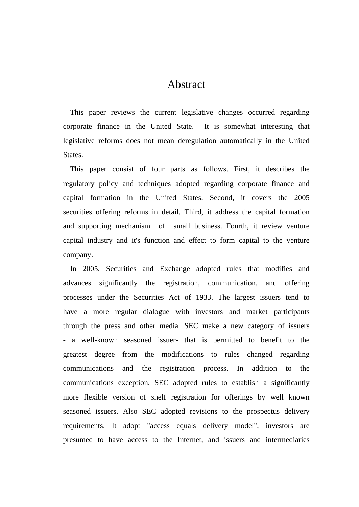## Abstract

This paper reviews the current legislative changes occurred regarding corporate finance in the United State. It is somewhat interesting that legislative reforms does not mean deregulation automatically in the United States.

This paper consist of four parts as follows. First, it describes the regulatory policy and techniques adopted regarding corporate finance and capital formation in the United States. Second, it covers the 2005 securities offering reforms in detail. Third, it address the capital formation and supporting mechanism of small business. Fourth, it review venture capital industry and it's function and effect to form capital to the venture company.

In 2005, Securities and Exchange adopted rules that modifies and advances significantly the registration, communication, and offering processes under the Securities Act of 1933. The largest issuers tend to have a more regular dialogue with investors and market participants through the press and other media. SEC make a new category of issuers - a well-known seasoned issuer- that is permitted to benefit to the greatest degree from the modifications to rules changed regarding communications and the registration process. In addition to the communications exception, SEC adopted rules to establish a significantly more flexible version of shelf registration for offerings by well known seasoned issuers. Also SEC adopted revisions to the prospectus delivery requirements. It adopt "access equals delivery model", investors are presumed to have access to the Internet, and issuers and intermediaries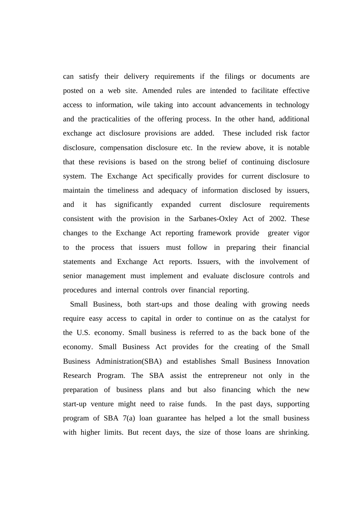can satisfy their delivery requirements if the filings or documents are posted on a web site. Amended rules are intended to facilitate effective access to information, wile taking into account advancements in technology and the practicalities of the offering process. In the other hand, additional exchange act disclosure provisions are added. These included risk factor disclosure, compensation disclosure etc. In the review above, it is notable that these revisions is based on the strong belief of continuing disclosure system. The Exchange Act specifically provides for current disclosure to maintain the timeliness and adequacy of information disclosed by issuers, and it has significantly expanded current disclosure requirements consistent with the provision in the Sarbanes-Oxley Act of 2002. These changes to the Exchange Act reporting framework provide greater vigor to the process that issuers must follow in preparing their financial statements and Exchange Act reports. Issuers, with the involvement of senior management must implement and evaluate disclosure controls and procedures and internal controls over financial reporting.

Small Business, both start-ups and those dealing with growing needs require easy access to capital in order to continue on as the catalyst for the U.S. economy. Small business is referred to as the back bone of the economy. Small Business Act provides for the creating of the Small Business Administration(SBA) and establishes Small Business Innovation Research Program. The SBA assist the entrepreneur not only in the preparation of business plans and but also financing which the new start-up venture might need to raise funds. In the past days, supporting program of SBA 7(a) loan guarantee has helped a lot the small business with higher limits. But recent days, the size of those loans are shrinking.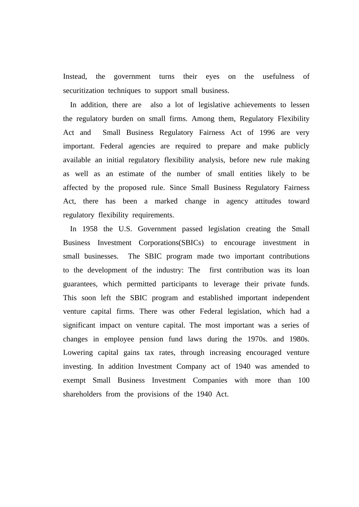Instead, the government turns their eyes on the usefulness of securitization techniques to support small business.

In addition, there are also a lot of legislative achievements to lessen the regulatory burden on small firms. Among them, Regulatory Flexibility Act and Small Business Regulatory Fairness Act of 1996 are very important. Federal agencies are required to prepare and make publicly available an initial regulatory flexibility analysis, before new rule making as well as an estimate of the number of small entities likely to be affected by the proposed rule. Since Small Business Regulatory Fairness Act, there has been a marked change in agency attitudes toward regulatory flexibility requirements.

In 1958 the U.S. Government passed legislation creating the Small Business Investment Corporations(SBICs) to encourage investment in small businesses. The SBIC program made two important contributions to the development of the industry: The first contribution was its loan guarantees, which permitted participants to leverage their private funds. This soon left the SBIC program and established important independent venture capital firms. There was other Federal legislation, which had a significant impact on venture capital. The most important was a series of changes in employee pension fund laws during the 1970s. and 1980s. Lowering capital gains tax rates, through increasing encouraged venture investing. In addition Investment Company act of 1940 was amended to exempt Small Business Investment Companies with more than 100 shareholders from the provisions of the 1940 Act.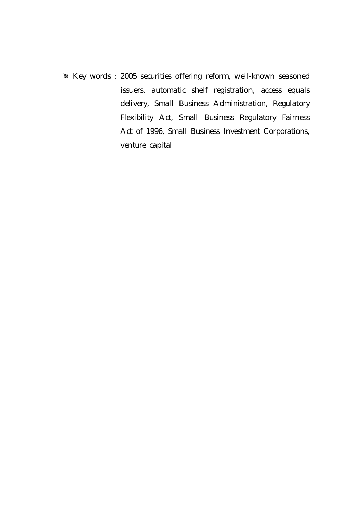※ Key words : 2005 securities offering reform, well-known seasoned issuers, automatic shelf registration, access equals delivery, Small Business Administration, Regulatory Flexibility Act, Small Business Regulatory Fairness Act of 1996, Small Business Investment Corporations, venture capital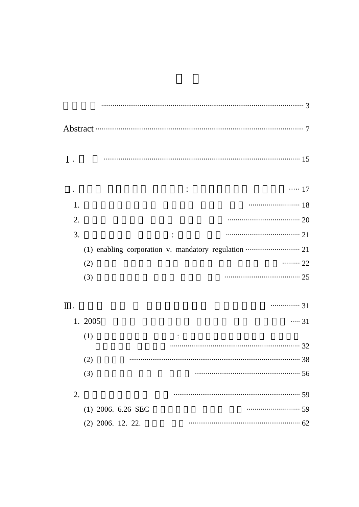| Ι.              |                                                      |
|-----------------|------------------------------------------------------|
| $\Pi$ .         | $\cdots$ 17                                          |
| 1.              |                                                      |
| 2.              |                                                      |
| 3.              |                                                      |
|                 | (1) enabling corporation v. mandatory regulation  21 |
|                 | $\cdots$ 22<br>(2)                                   |
|                 | (3)                                                  |
| $\mathbf{\Pi}.$ | 31                                                   |
|                 | 1. 2005<br>$\cdots 31$                               |
|                 | (1)                                                  |
|                 | (2)                                                  |
|                 | (3)                                                  |
| 2.              |                                                      |
|                 | $(1)$ 2006. 6.26 SEC                                 |

 $\cdots$  62

 $(2)$  2006. 12. 22.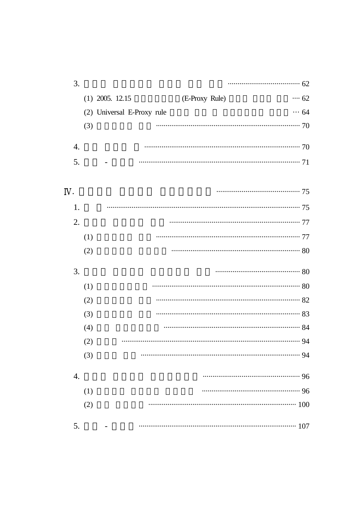|             |                |                            |     | 3.  |
|-------------|----------------|----------------------------|-----|-----|
| $\cdots$ 62 | (E-Proxy Rule) | $(1)$ 2005. 12.15          |     |     |
| $\cdots$ 64 |                | (2) Universal E-Proxy rule |     |     |
|             |                |                            | (3) |     |
|             |                |                            |     | 4.  |
|             |                |                            |     | 5.  |
|             |                |                            |     | IV. |
|             |                |                            |     | 1.  |
|             |                |                            |     | 2.  |
|             |                |                            |     |     |
|             |                |                            | (1) |     |
|             |                |                            | (2) |     |
|             |                |                            |     | 3.  |
|             |                |                            | (1) |     |
|             |                |                            | (2) |     |
|             |                |                            | (3) |     |
|             |                |                            | (4) |     |
|             |                |                            | (2) |     |
|             |                |                            | (3) |     |
|             |                |                            |     | 4.  |
|             |                |                            | (1) |     |
|             |                |                            | (2) |     |
|             |                |                            |     | 5.  |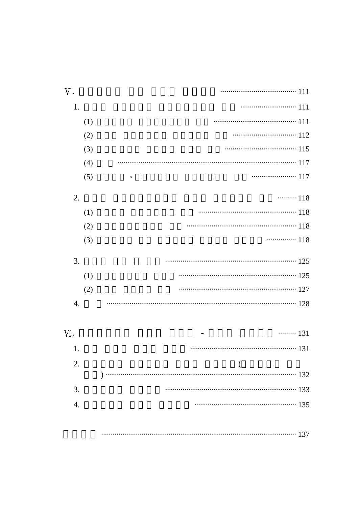| $\mathbf V$ . |     | 111              |  |
|---------------|-----|------------------|--|
| 1.            |     |                  |  |
|               | (1) |                  |  |
|               | (2) |                  |  |
|               | (3) |                  |  |
|               | (4) |                  |  |
|               | (5) | $\bullet$        |  |
| 2.            |     | $\cdots$ 118     |  |
|               | (1) |                  |  |
|               | (2) |                  |  |
|               | (3) | 118              |  |
| 3.            |     |                  |  |
|               | (1) |                  |  |
|               | (2) |                  |  |
| 4.            |     |                  |  |
|               |     |                  |  |
| VI.           |     | $\cdots$ 131     |  |
| 1.            |     |                  |  |
| 2.            |     | $\overline{(\ }$ |  |
|               |     |                  |  |
| 3.            |     |                  |  |
| 4.            |     |                  |  |
|               |     |                  |  |

|--|--|--|--|--|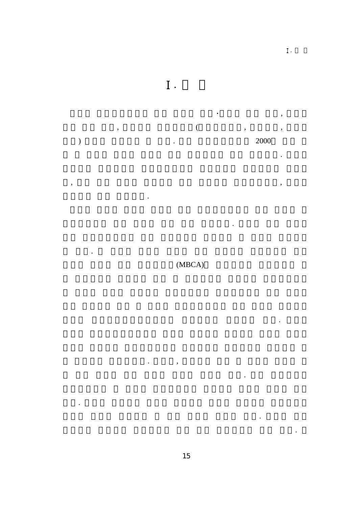,

 $\ddot{\phantom{0}}$ 



 $\overline{\phantom{a}}$ 

 $\overline{\phantom{a}}$ 

 $\overline{\phantom{a}}$ 

 $\bullet$ 

,

2000

 $\overline{(\ }$ 

 $(MBCA)$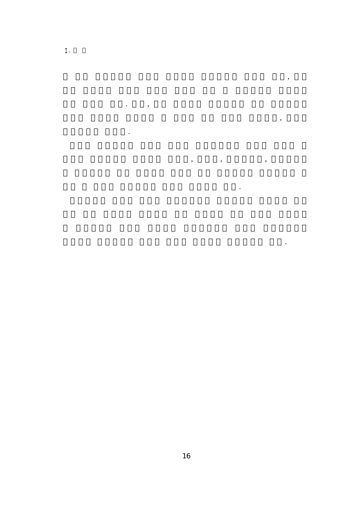$\bar{\rm I}$  .

 $\ddot{\phantom{0}}$ 

 $\ddot{\cdot}$ 

 $\overline{\phantom{a}}$ 

,

 $\ddot{\phantom{a}}$ 

 $\overline{\phantom{a}}$ 

 $\cdot$ 

 $\ddot{\phantom{0}}$ 

,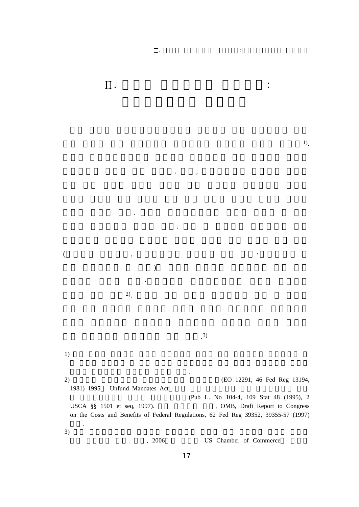. :

. ,

.

 $\div$ 

 $\ddot{\cdot}$ 



.

2).

)

 $($ ,  $,$ 

1).

.3)

1)

2) (EO 12291, 46 Fed Reg 13194, 1981) 1995 Unfund Mandates Act (Pub L. No 104-4, 109 Stat 48 (1995), 2 USCA §§ 1501 et seq, 1997). (OMB, Draft Report to Congress on the Costs and Benefits of Federal Regulations, 62 Fed Reg 39352, 39355-57 (1997) .

.

3)

. , 2006 US Chamber of Commerce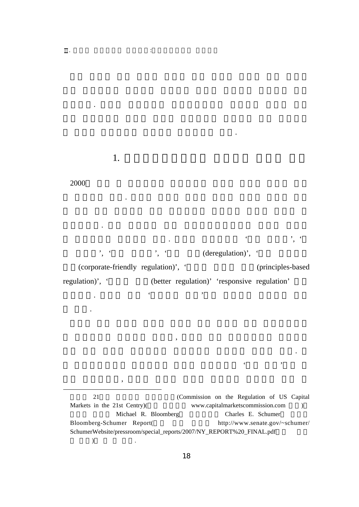' (deregulation)', ' (corporate-friendly regulation)', ' (principles-based regulation)', ' (better regulation)' 'responsive regulation'

.

 $\ddot{\phantom{0}}$ ,

,

 $\ddot{\bullet}$ 

.

 $\mathbf c$ 

'

 $\ddot{\phantom{0}}$ ,

 $\begin{array}{cccc} \cdot & \cdot & \cdot & \cdot \\ \cdot & \cdot & \cdot & \cdot \\ \cdot & \cdot & \cdot & \cdot \end{array}$ 

.

 $\div$ 

21 (Commission on the Regulation of US Capital Markets in the 21st Centry)( www.capitalmarketscommission.com ) Michael R. Bloomberg Charles E. Schumer Bloomberg-Schumer Report( http://www.senate.gov/~schumer/ SchumerWebsite/pressroom/special\_reports/2007/NY\_REPORT%20\_FINAL.pdf  $)$  .

18

.

1.

.

.

.

.

,

2000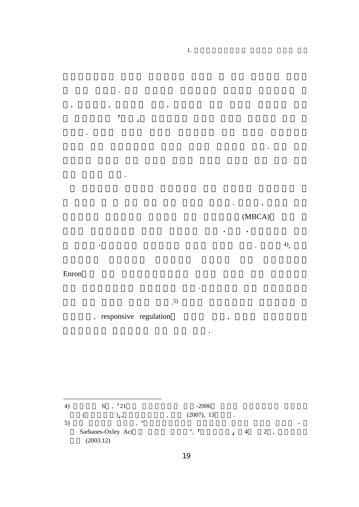

 $\blacksquare$ 

 $\ddot{\phantom{a}}$ 

 $\bullet$ 

 $\ddot{\phantom{a}}$ 

Enron

 $\overline{\phantom{a}}$ 

 $\ddot{\phantom{a}}$ 

 $(5)$ 

, responsive regulation

 $\ddot{\phantom{a}}$ 

 $\mathbf{r}$ 

J.

 $\overline{\phantom{a}}$ 

| 4) | $\frac{1}{21}$<br>6             | $-2006$    |                |   |    |  |
|----|---------------------------------|------------|----------------|---|----|--|
|    | ,,,                             | (2007), 13 | $\cdot$        |   |    |  |
| 5) | 66                              |            |                |   |    |  |
|    | Sarbanes-Oxley Act<br>(2003.12) | ۰          | $\blacksquare$ | 4 | 2, |  |

 $\overline{\phantom{a}}$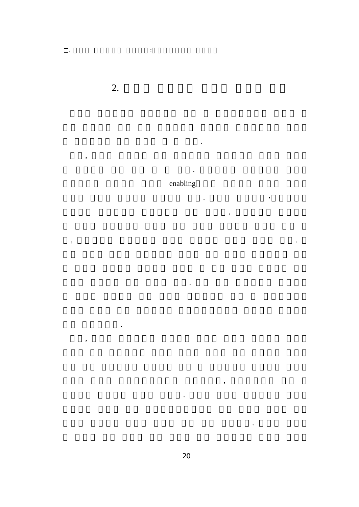$,$ 

 $\overline{\phantom{a}}$ 

 $,$ 

 $\ddot{\phantom{a}}$ 

 $\frac{1}{2}$ 

enabling

 $\ddot{\phantom{0}}$ 

 $\ddot{\phantom{0}}$ 

 $\overline{\phantom{a}}$ 

 $\, ,$ 

 $\ddot{\phantom{0}}$ 

 $\ddot{\phantom{0}}$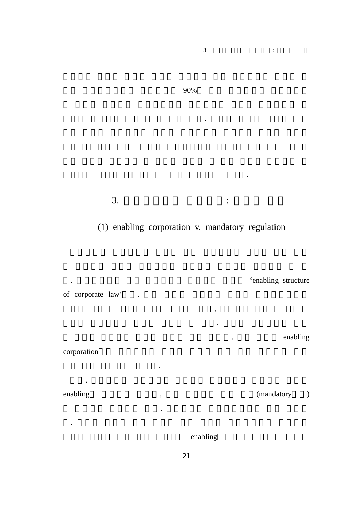## 90%

 $\ddot{\phantom{a}}$ 

 $3.$ 

3.

# (1) enabling corporation v. mandatory regulation

of corporate law'.

corporation

 $\ddot{\phantom{a}}$ 

enabling

 $\mathcal{L}^{\text{max}}$ 

 $\overline{\phantom{a}}$ 

'enabling structure

 $\mathcal{L}^{\text{max}}_{\text{max}}$ 

 $\ddot{\phantom{a}}$ 

 $\ddot{\cdot}$ 

 $,$  $\Delta \sim 1$ 

 $\sim 10^{-11}$ 

enabling

(mandatory )

### enabling

 $\ddot{\phantom{a}}$ 

 $\overline{\phantom{a}}$  $\ddot{\phantom{0}}$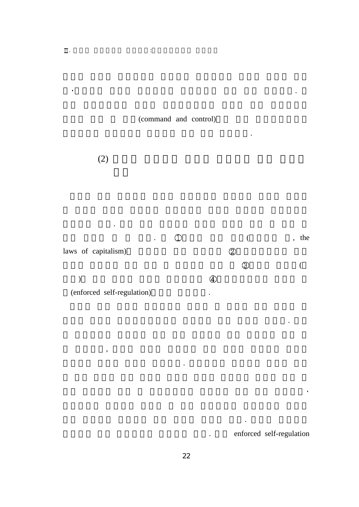

 $\overline{1}$ 

(2)

.

,



.

.

 $\ddot{\phantom{1}}$ 

.

.

.

 $\ddot{\phantom{0}}$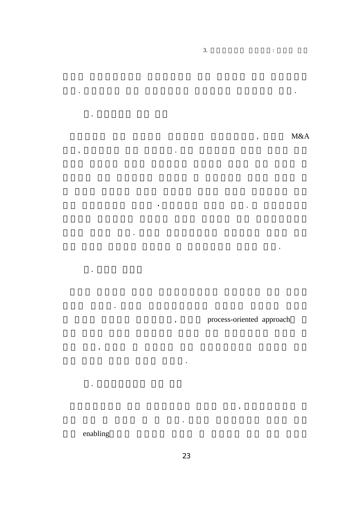$M&A$ 

 $\ddot{\phantom{a}}$ 

 $\sim 10^{-11}$ 

 $\overline{\phantom{a}}$ 

process-oriented approach

 $\overline{\phantom{a}}$ 

 $\ddot{\phantom{0}}$ 

 $3.$ 

 $\ddot{\phantom{a}}$ 

 $\overline{\phantom{a}}$ 

 $\ddot{\phantom{0}}$ 

 $\bullet$ 

 $\ddot{\phantom{0}}$ 

enabling

 $\, ,$ 

 $\ddot{\phantom{a}}$ 

 $\ddot{\phantom{a}}$ 

 $\overline{\phantom{a}}$ 

 $\ddot{\phantom{0}}$ 

 $\ddot{\phantom{a}}$ 

 $\ddot{\phantom{a}}$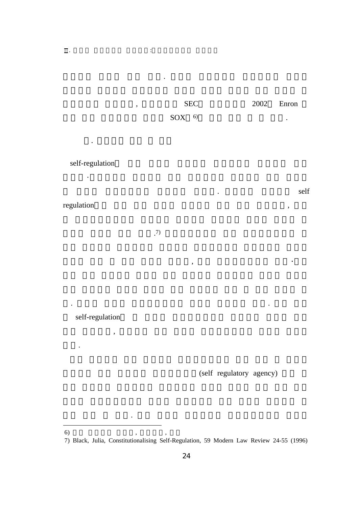#### **SEC** 2002  $SOX$  6)

 $\ddot{\phantom{0}}$ 

 $\overline{\phantom{a}}$ 

 $\ddot{\phantom{a}}$ 

Enron

self

 $\bullet$ 

self-regulation

 $\ddot{\phantom{0}}$ 

 $\ddot{\phantom{0}}$ 

regulation

 $\cdot$ <sup>7</sup>)

 $\pm$ 

 $\overline{\phantom{a}}$ 

self-regulation

 $\ddot{\phantom{0}}$ 

 $\overline{\phantom{a}}$ 

 $\ddot{\phantom{1}}$ 

 $\, ,$ 

(self regulatory agency)

 $6)$ 

<sup>7)</sup> Black, Julia, Constitutionalising Self-Regulation, 59 Modern Law Review 24-55 (1996)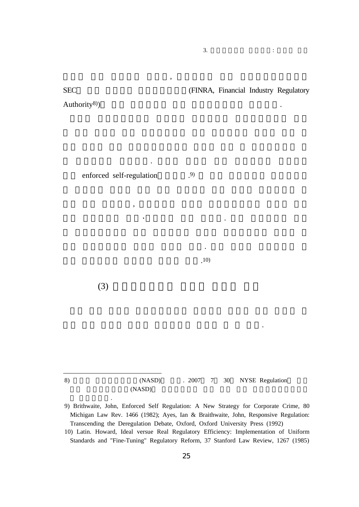,

 $\pm$ 

(FINRA, Financial Industry Regulatory

.

.

. .10)

enforced self-regulation .9)

,

.

(3)

.

8) (NASD) . 2007 7 30 NYSE Regulation (NASD)

9) Brithwaite, John, Enforced Self Regulation: A New Strategy for Corporate Crime, 80 Michigan Law Rev. 1466 (1982); Ayes, Ian & Braithwaite, John, Responsive Regulation: Transcending the Deregulation Debate, Oxford, Oxford University Press (1992)

10) Latin. Howard, Ideal versue Real Regulatory Efficiency: Implementation of Uniform Standards and "Fine-Tuning" Regulatory Reform, 37 Stanford Law Review, 1267 (1985)

SEC

Authority<sup>8)</sup>)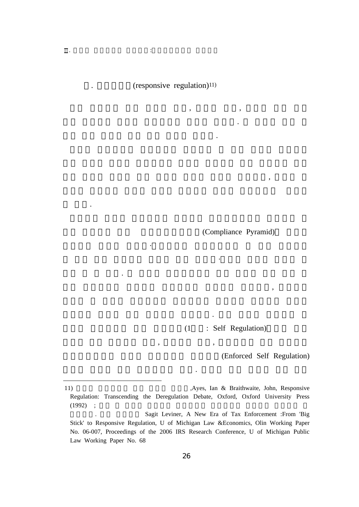(responsive regulation) $11$ )

 $\cdot$ 

 $\colon$ 

(Compliance Pyramid)

: Self Regulation)  $(1)$ 

(Enforced Self Regulation)

 $11)$ ,Ayes, Ian & Braithwaite, John, Responsive Regulation: Transcending the Deregulation Debate, Oxford, Oxford University Press  $(1992)$ ;

Sagit Leviner, A New Era of Tax Enforcement :From 'Big Stick' to Responsive Regulation, U of Michigan Law &Economics, Olin Working Paper No. 06-007, Proceedings of the 2006 IRS Research Conference, U of Michigan Public Law Working Paper No. 68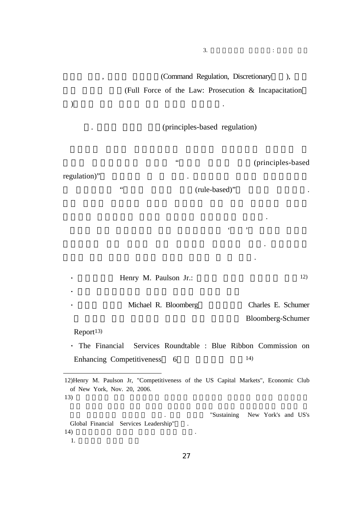, (Command Regulation, Discretionary ), (Full Force of the Law: Prosecution & Incapacitation

 $3.$   $\vdots$ 

. (principles-based regulation)

 $\overline{\mathcal{L}}$ 

(principles-based

.

.

.

 $\hat{\mathcal{L}}$ 

regulation)"

 $\ddot{\phantom{0}}$ 

(rule-based)" .

 $\epsilon$  $\cdot$ , ,

Henry M. Paulson Jr.: 12)

) and the contract of  $\mathbf{r}$  .

Michael R. Bloomberg Charles E. Schumer

Bloomberg-Schumer

Report<sup>13)</sup>

The Financial Services Roundtable : Blue Ribbon Commission on Enhancing Competitiveness 6 14)

. "Sustaining New York's and US's Global Financial Services Leadership" .  $14)$  . 1.

<sup>12)</sup>Henry M. Paulson Jr, "Competitiveness of the US Capital Markets", Economic Club of New York, Nov. 20, 2006. 13)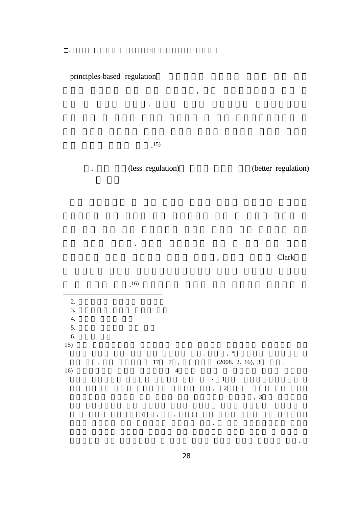principles-based regulation

 $\ddot{\phantom{a}}$ 

 $.15)$ 

 $\cdot$ 

 $\overline{\phantom{a}}$ 

 $\frac{1}{2}$ 

 $\ddot{\phantom{0}}$ 

(less regulation)

 $\overline{a}$ 

(better regulation)



 $\, ,$ 



 $\bar{\mathbf{u}}$  .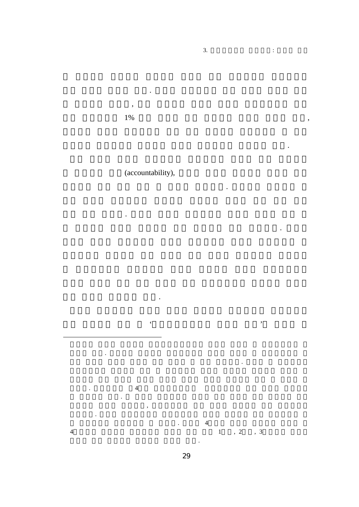$1%$ 

 $\ddot{\phantom{0}}$ 

 $\ddot{\phantom{0}}$ 

 $\overline{\phantom{a}}$ 

(accountability),

 $\epsilon$ 

 $\ddot{\phantom{a}}$ 

 $3.$ 

 $\ddot{\phantom{a}}$ 

 $\langle \pm \rangle$ 

 $\ddot{\phantom{0}}$ 

 $\overline{\phantom{a}}$ 

 $,$ 

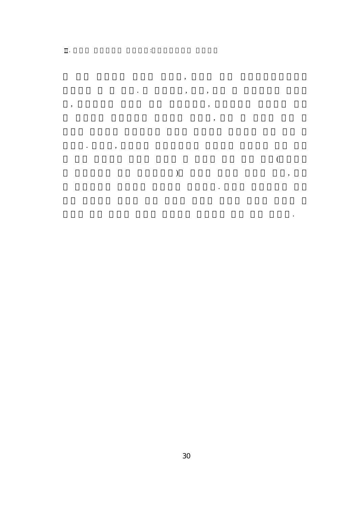$\overline{\phantom{a}}$ 

,

 $\ddot{\cdot}$ 

 $\big)$ 

 $\overline{(}$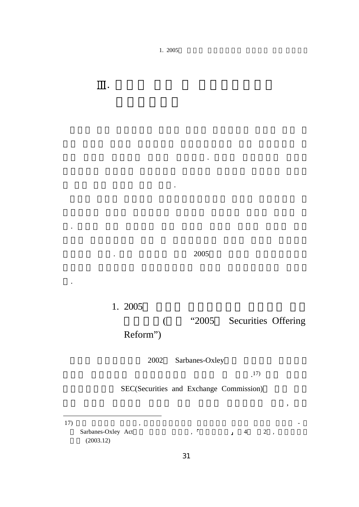1. 2005

.

#### . 2005

.

1. 2005

( "2005 Securities Offering Reform")

> 2002Sarbanes-Oxley

> > .17)

,

SEC(Securities and Exchange Commission)

17) , -

.

.

Sarbanes-Oxley Act , 4 2 , (2003.12)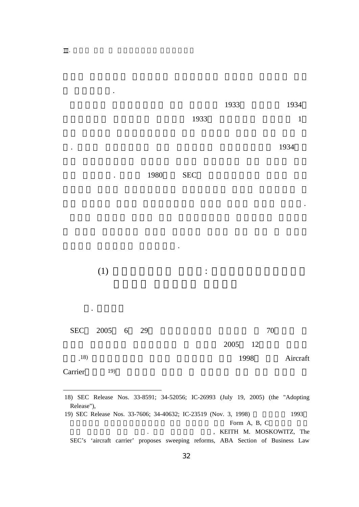

1933

 $3 \hspace{3.1em} 1$ 

1933

1934

18) SEC Release Nos. 33-8591; 34-52056; IC-26993 (July 19, 2005) (the "Adopting Release"),

19) SEC Release Nos. 33-7606; 34-40632; IC-23519 (Nov. 3, 1998) 1993 Form A, B, C . , KEITH M. MOSKOWITZ, The

SEC's 'aircraft carrier' proposes sweeping reforms, ABA Section of Business Law

.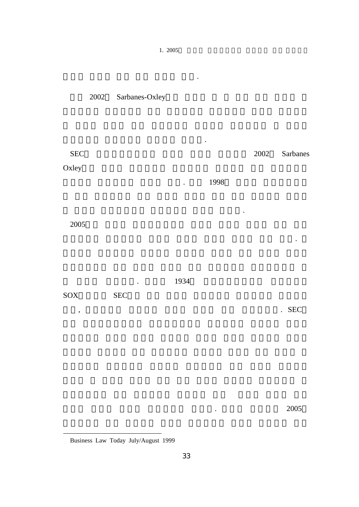.

.

#### 2002Sarbanes-Oxley

| $\rm{SEC}$ |           |           | 2002 | Sarbanes  |
|------------|-----------|-----------|------|-----------|
| Oxley      |           |           |      |           |
|            | $\bullet$ | 1998      |      |           |
|            |           |           |      |           |
|            |           | $\bullet$ |      |           |
| 2005       |           |           |      |           |
|            |           |           |      | $\bullet$ |
|            |           |           |      |           |

. 1934

SOXSEC

,  $\;$  . SEC  $\;$ 

. 2005

Business Law Today July/August 1999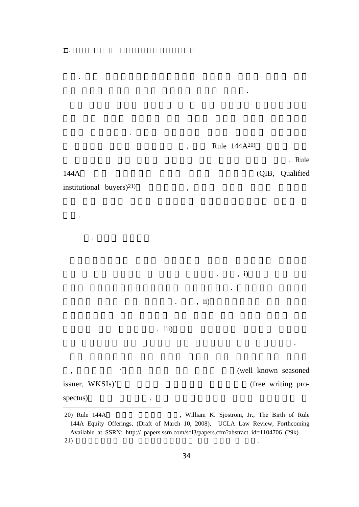144A

.

, Rule 144A20)

. , i)

.

. Rule

(QIB, Qualified

institutional buyers)<sup>21)</sup>,

.

.

. , ii)

. iii)

(well known seasoned

issuer, WKSIs)' (free writing pro-

.

 $\zeta$ 

spectus) .

,

<sup>20)</sup> Rule 144A , William K. Sjostrom, Jr., The Birth of Rule 144A Equity Offerings, (Draft of March 10, 2008), UCLA Law Review, Forthcoming Available at SSRN: http:// papers.ssrn.com/sol3/papers.cfm?abstract\_id=1104706 (29k) 21)  $\blacksquare$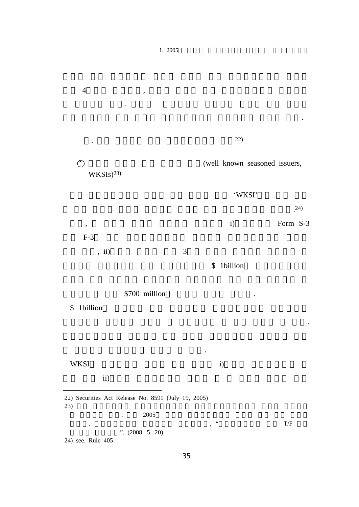| $\overline{4}$<br>,                                 |                |                               |        |                         |      |
|-----------------------------------------------------|----------------|-------------------------------|--------|-------------------------|------|
|                                                     |                |                               |        |                         |      |
|                                                     |                |                               |        |                         |      |
|                                                     |                | 22)                           |        |                         |      |
| $\mathbb Q$                                         |                | (well known seasoned issuers, |        |                         |      |
| WKSIs) <sup>23)</sup>                               |                |                               |        |                         |      |
|                                                     |                |                               | 'WKSI' |                         |      |
|                                                     |                |                               |        |                         | .24) |
| $\overline{\phantom{a}}$                            |                | i)                            |        | Form S-3                |      |
| $F-3$                                               |                |                               |        |                         |      |
| , ii)                                               | $\mathfrak{Z}$ |                               |        |                         |      |
|                                                     |                | \$<br>1billion                |        |                         |      |
| \$700 million                                       |                |                               |        |                         |      |
| 1billion<br>\$                                      |                |                               |        |                         |      |
|                                                     |                |                               |        |                         |      |
|                                                     |                |                               |        |                         |      |
|                                                     |                |                               |        |                         |      |
| WKSI                                                |                | i)                            |        |                         |      |
| ii)                                                 |                |                               |        |                         |      |
| 22) Securities Act Release No. 8591 (July 19, 2005) |                |                               |        |                         |      |
| 23)<br>2005                                         |                |                               |        |                         |      |
| ", (2008. 5. 20)                                    |                | $\zeta$ $\zeta$<br>۰          |        | $\mathrm{T}/\mathrm{F}$ |      |

1. 2005

24) see. Rule 405

35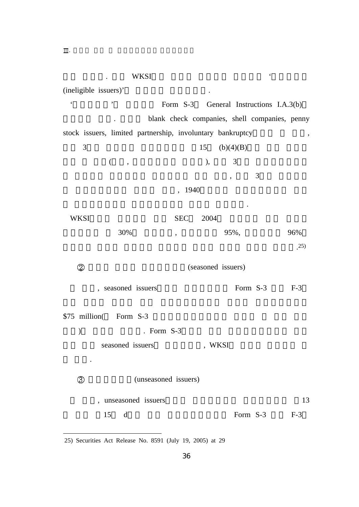. WKSI $\mathbf I$ (ineligible issuers)'  $\epsilon$  ' Form S-3 General Instructions I.A.3(b) . blank check companies, shell companies, penny stock issuers, limited partnership, involuntary bankruptcy , 315 (b)(4)(B)  $($ ,  $)$ , 3 , 3 , 1940 . WKSI SEC 2004 30% , 95%, 96% .25)  $\circledcirc$ (seasoned issuers) , seasoned issuers Form S-3 F-3 \$75 million( Form S-3 ) . Form S-3 seasoned issuers , WKSI .  $\circled{3}$ (unseasoned issuers) , unseasoned issuers 13 15d Form S-3 F-3

25) Securities Act Release No. 8591 (July 19, 2005) at 29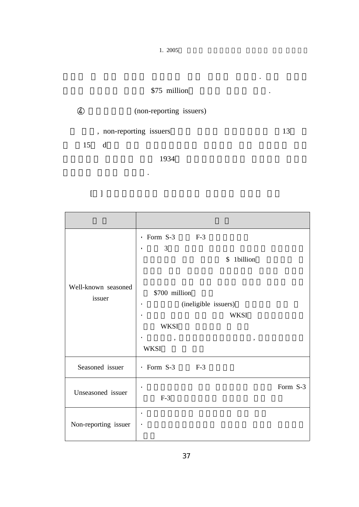## \$75 million .

.



.

[ ]

|                               | $\cdot$ Form S-3 F-3<br>3<br>$\bullet$<br>1billion<br>\$                                                          |
|-------------------------------|-------------------------------------------------------------------------------------------------------------------|
| Well-known seasoned<br>issuer | \$700 million<br>(ineligible issuers)<br>٠<br>WKSI<br><b>WKSI</b><br>$\overline{\phantom{a}}$<br>,<br><b>WKSI</b> |
| Seasoned issuer               | $\cdot$ Form S-3 F-3                                                                                              |
| Unseasoned issuer             | Form S-3<br>$\bullet$<br>$F-3$                                                                                    |
| Non-reporting issuer          | $\bullet$<br>$\bullet$                                                                                            |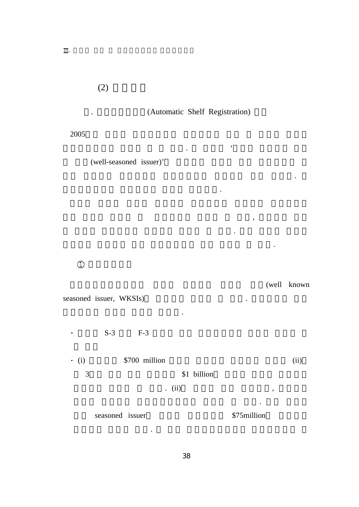(2)

## . (Automatic Shelf Registration)

 $\hat{\pmb{\zeta}}$ 

,

.

.

.

2005

(well-seasoned issuer)'

 $\textcircled{1}$ 

### (well known

.

.

seasoned issuer, WKSIs) .

 $\sim$  S-3  $F-3$ 

 $\cdot$  (i)  $\frac{$700 \text{ million}}{2}$  (ii) 3 \$1 billion .  $(ii)$ ,

.

.

seasoned issuer

\$75million

.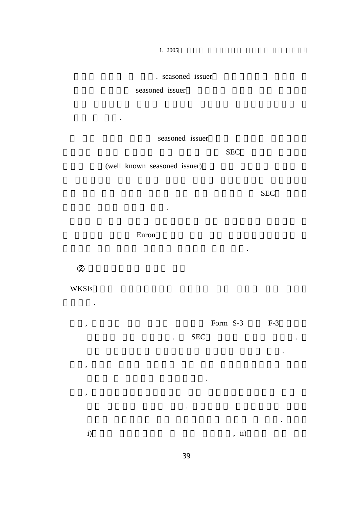#### . seasoned issuer

seasoned issuer

seasoned issuer

SEC

(well known seasoned issuer)

.

.

SEC

.

.

Enron

 $\circledZ$ 

WKSIs

,

,

.

, Form S-3 F-3

.

. SEC $\sim$  . The contract of  $\sim$  .

.

i)  $, ii)$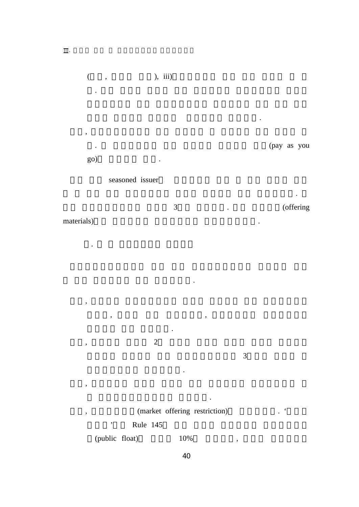

3

materials)

.

,

,

.

, 2

, ,

.

3

. (offering

, (market offering restriction) . '  $\overline{\phantom{a}}$ \* Rule 145

(public float) 10% ,

40

.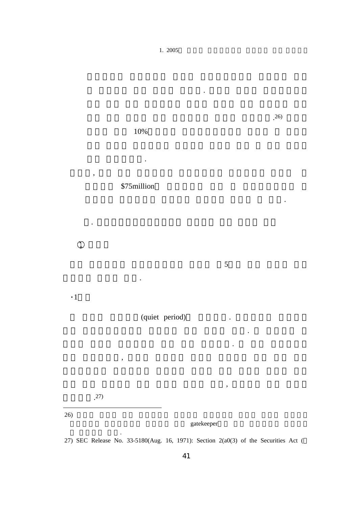$\ddot{\phantom{a}}$ 

 $.26)$ 

 $\ddot{\phantom{a}}$ 

10%

.

\$75million

 $\ddot{\phantom{a}}$ 

 $\mathbb O$ 

 $\cdot$ 1

 $\overline{\phantom{a}}$ 

 $\blacksquare$ 

 $\sqrt{5}$ 

 $\ddot{\phantom{a}}$ 

 $\overline{\phantom{a}}$ 

(quiet period)

 $.27)$ 

 $\overline{\phantom{a}}$ 

 $26)$ 

gatekeeper

27) SEC Release No. 33-5180(Aug. 16, 1971): Section 2(a0(3) of the Securities Act (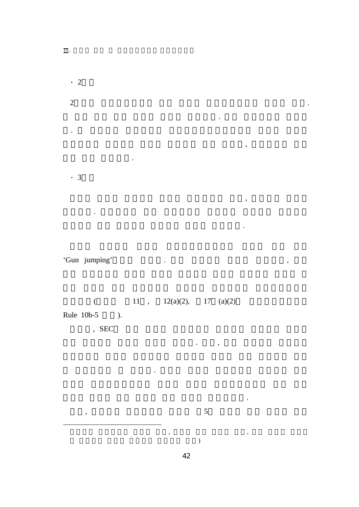'Gun jumping' and a set of the set of the set of the set of the set of the set of the set of the set of the set of the set of the set of the set of the set of the set of the set of the set of the set of the set of the set

 $\,$  ,

 $\ddot{\phantom{a}}$ 

 $\mathbf{m}$ .

 $\cdot$  2

 $\overline{2}$ 

 $\ddot{\phantom{0}}$ 

 $\cdot$  3

(  $11$ ,  $12(a)(2)$ ,  $17$   $(a)(2)$ Rule 10b-5 ). , SEC

 $\ddot{\phantom{a}}$ 

 $\ddot{\phantom{a}}$ 

 $\mathfrak{S}$ 

 $\ddot{\phantom{0}}$ 

 $\,$  ,

 $\ddot{\phantom{a}}$ 

 $\, ,$ 

 $\overline{\phantom{a}}$ 

 $\ddot{\phantom{0}}$ 

 $\ddot{\phantom{0}}$ 

 $\overline{\phantom{a}}$ 

 $\cdot$ 

 $\ddot{\phantom{0}}$ 

 $\bar{\mathcal{Y}}$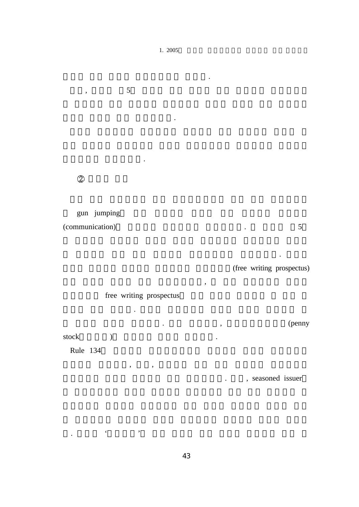.

,

, 5

# $\circledZ$

gun jumping (communication) 5

(free writing prospectus)

.

free writing prospectus

, ,

.

.

. (penny

stock $\mathbf{k}$  ) .

Rule 134

. The contract of  $\epsilon$  is the contract of  $\epsilon$ 

. , seasoned issuer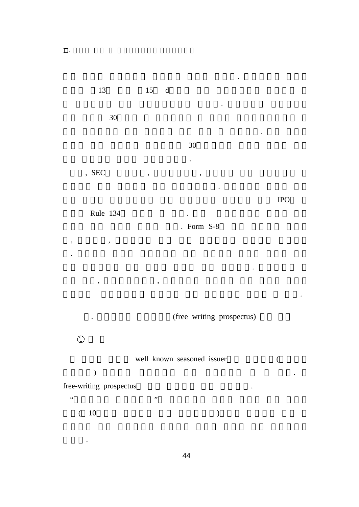.

13 15 d . 30 . 30. ,  $SEC \qquad \qquad ,$ . IPO Rule 134 . . Form S-8 , , .

. (free writing prospectus)

.

.

 $\Phi$ well known seasoned issuer $\mathbf{r}$  ( ) the contract of the contract of  $\mathbf{r}$  . free-writing prospectus . " $\overline{a}$  , and  $\overline{a}$  , and  $\overline{a}$  , and  $\overline{a}$  , and  $\overline{a}$  , and  $\overline{a}$  , and  $\overline{a}$  , and  $\overline{a}$  , and  $\overline{a}$  , and  $\overline{a}$  , and  $\overline{a}$  , and  $\overline{a}$  , and  $\overline{a}$  , and  $\overline{a}$  , and  $\overline{a}$  , ( 10 )

, ,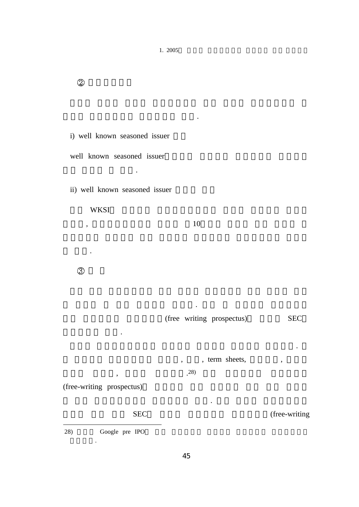$\circled{2}$ 

i) well known seasoned issuer

well known seasoned issuer

ii) well known seasoned issuer

.

.

WKSI

,  $10$ 

.

 $\circled{3}$ 

.

(free writing prospectus) SEC

, , term sheets, , , .28)

.

.

(free-writing prospectus)

SEC

28) Google pre IPO

.

(free-writing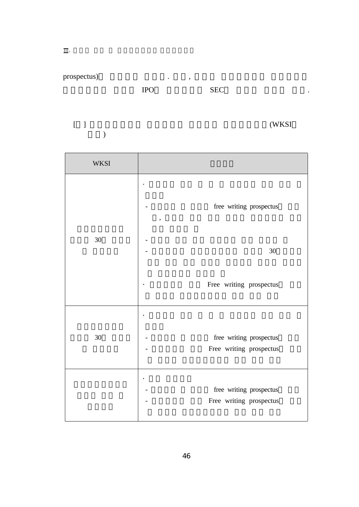prospectus) and the set of the set of the set of the set of the set of the set of the set of the set of the set of the set of the set of the set of the set of the set of the set of the set of the set of the set of the set IPOSEC .

[ ] (WKSI )

| <b>WKSI</b> |                                                    |
|-------------|----------------------------------------------------|
|             | $\blacksquare$<br>free writing prospectus<br>$\,$  |
| 30          | 30                                                 |
|             | Free writing prospectus<br>$\bullet$               |
| 30          | $\bullet$<br>free writing prospectus               |
|             | Free writing prospectus<br>$\bullet$               |
|             | free writing prospectus<br>Free writing prospectus |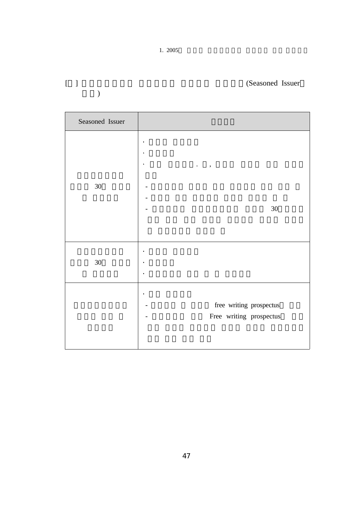)

[ ] (Seasoned Issuer

| Seasoned Issuer |                         |
|-----------------|-------------------------|
|                 | $\cdot$                 |
|                 | $^\circ$                |
| $30\,$          |                         |
|                 |                         |
|                 | 30                      |
|                 |                         |
|                 |                         |
| $30\,$          | ٠                       |
|                 | $\bullet$               |
|                 | free writing prospectus |
|                 | Free writing prospectus |
|                 |                         |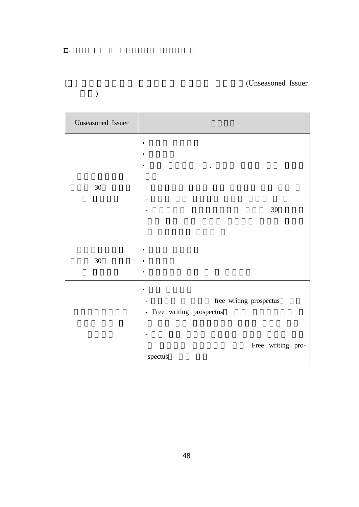)

| Unseasoned Issuer |                           |
|-------------------|---------------------------|
|                   | $\bullet$                 |
|                   |                           |
|                   |                           |
| $30\,$            |                           |
|                   |                           |
|                   | $30\,$                    |
|                   |                           |
|                   |                           |
|                   |                           |
| $30\,$            |                           |
|                   |                           |
|                   |                           |
|                   | free writing prospectus   |
|                   | - Free writing prospectus |
|                   |                           |
|                   | Free writing pro-         |
|                   | spectus                   |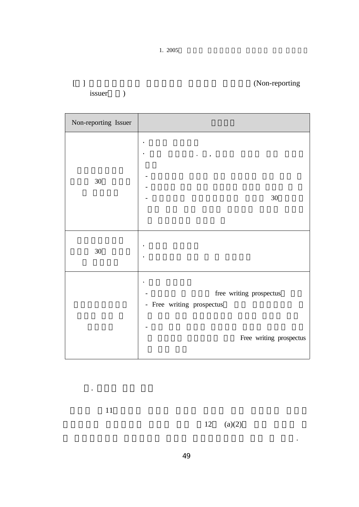$\mathbb{F}$ 

issuer )

T

[ ] (Non-reporting

h

| Non-reporting Issuer |                                                                   |
|----------------------|-------------------------------------------------------------------|
|                      | ,                                                                 |
| $30\,$               | 30                                                                |
|                      |                                                                   |
| $30\,$               | $\bullet$<br>٠                                                    |
|                      | $\bullet$<br>free writing prospectus<br>- Free writing prospectus |
|                      | Free writing prospectus                                           |

1. 2005

11

.

12 $(a)(2)$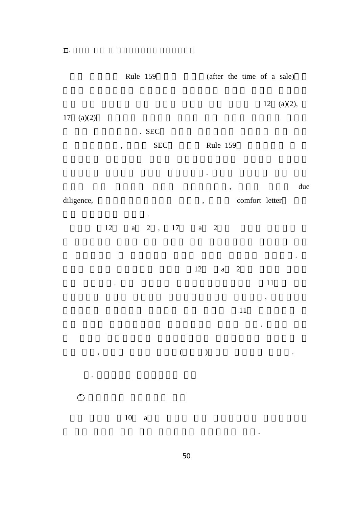| $12$ (a)(2),<br>$17\,$<br>(a)(2)<br>. $\rm{SEC}$                                      |     |
|---------------------------------------------------------------------------------------|-----|
|                                                                                       |     |
| <b>SEC</b><br>Rule 159<br>$\overline{\phantom{a}}$                                    |     |
| $\ddot{\phantom{0}}$                                                                  | due |
| ,<br>diligence,<br>comfort letter<br>$\overline{\phantom{a}}$<br>$\ddot{\phantom{0}}$ |     |
| $2 \quad ,$<br>$17\,$<br>$12\,$<br>$\overline{c}$<br>$\mathbf{a}$<br>$\mathbf{a}$     |     |
| $12\,$<br>$\overline{2}$<br>$\mathbf{a}$<br>$11\,$                                    |     |
| $\overline{\phantom{a}}$<br>11                                                        |     |
| $\big($<br>$\overline{\phantom{a}}$<br>$\bullet$<br>$\overline{\phantom{a}}$          |     |
| $\cdot$                                                                               |     |
| $^\circledR$<br>$10\,$<br>$\rm{a}$                                                    |     |

50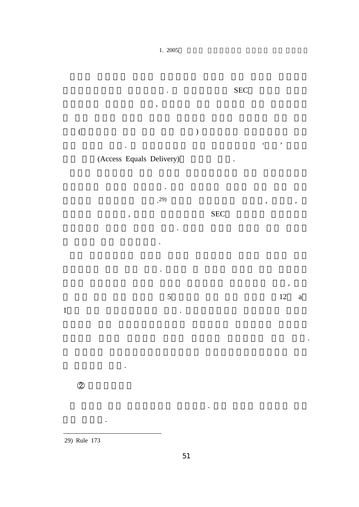

<sup>29)</sup> Rule 173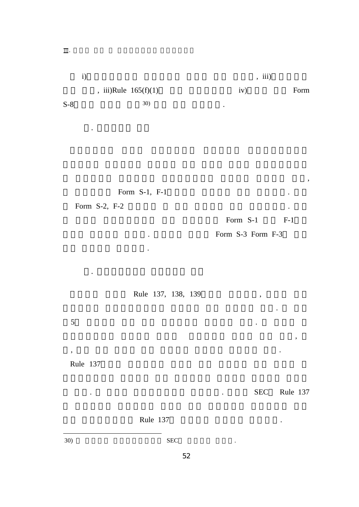i) , iii) , iii)Rule 165(f)(1) iv) Form S-8 $\hspace{1.6cm}30\hspace{1.1.1cm}$ 

Form S-1, F-1 .

.

Form S-2, F-2 ...

.

.

Form  $S-1$  $F-1$ 

. Form S-3 Form F-3

Rule 137, 138, 139,

, .

5 $\sim$  . The set of the set of the set of the set of the set of the set of the set of the set of the set of the set of the set of the set of the set of the set of the set of the set of the set of the set of the set of the s

Rule 137

. SEC SEC Rule 137

.

,

Rule 137.

 $\rm{SEC}$  .

52

,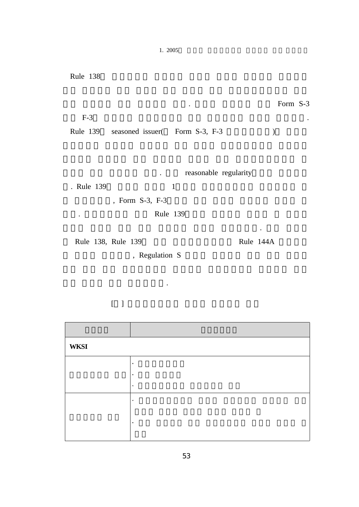Rule 138 . Form S-3 F-3 . Rule 139seasoned issuer( Form S-3, F-3 ) . reasonable regularity . Rule 139 $9 \hspace{3.1em} 1$ , Form S-3, F-3 . Rule 139 .

Rule 138, Rule 139 Rule 144A

.

, Regulation S

[ ]

| <b>WKSI</b> |           |  |  |  |  |
|-------------|-----------|--|--|--|--|
|             | $\bullet$ |  |  |  |  |
|             | $\bullet$ |  |  |  |  |
|             | $\bullet$ |  |  |  |  |
|             | ٠         |  |  |  |  |
|             |           |  |  |  |  |
|             |           |  |  |  |  |
|             |           |  |  |  |  |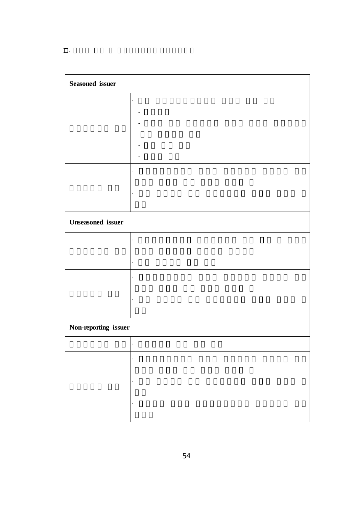| Seasoned issuer          |           |  |  |
|--------------------------|-----------|--|--|
|                          | $\bullet$ |  |  |
|                          |           |  |  |
|                          |           |  |  |
|                          |           |  |  |
|                          |           |  |  |
|                          |           |  |  |
|                          | $\bullet$ |  |  |
|                          |           |  |  |
|                          |           |  |  |
| <b>Unseasoned</b> issuer |           |  |  |
|                          |           |  |  |
|                          | i.        |  |  |
|                          |           |  |  |
|                          | $\bullet$ |  |  |
|                          |           |  |  |
|                          |           |  |  |
| Non-reporting issuer     |           |  |  |
|                          | $\bullet$ |  |  |
|                          | $\bullet$ |  |  |
|                          |           |  |  |
|                          |           |  |  |
|                          |           |  |  |
|                          |           |  |  |
|                          |           |  |  |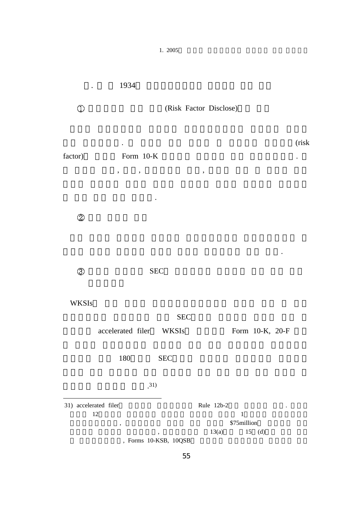| $\bullet$             |             | 1934                                               |                                       |                        |                                               |                    |
|-----------------------|-------------|----------------------------------------------------|---------------------------------------|------------------------|-----------------------------------------------|--------------------|
| $\mathbb O$           |             |                                                    |                                       | (Risk Factor Disclose) |                                               |                    |
| factor)               | $\bullet$   | Form $10-K$<br>$, \hspace{1.5cm} , \hspace{1.5cm}$ |                                       | $^\bullet$             |                                               | (risk<br>$\bullet$ |
| $\circledZ$           |             |                                                    |                                       |                        |                                               |                    |
| $^{\circledR}$        |             |                                                    | <b>SEC</b>                            |                        |                                               |                    |
| WKSIs                 |             |                                                    |                                       |                        |                                               |                    |
|                       |             |                                                    | <b>SEC</b><br>accelerated filer WKSIs |                        | Form 10-K, 20-F                               |                    |
|                       | 180         |                                                    | <b>SEC</b>                            |                        |                                               |                    |
|                       |             | , 31)                                              |                                       |                        |                                               |                    |
| 31) accelerated filer | $12\,$<br>, |                                                    | , Forms 10-KSB, 10QSB                 | Rule 12b-2<br>13(a)    | $\cdot$<br>$\,1\,$<br>\$75million<br>$15$ (d) |                    |

55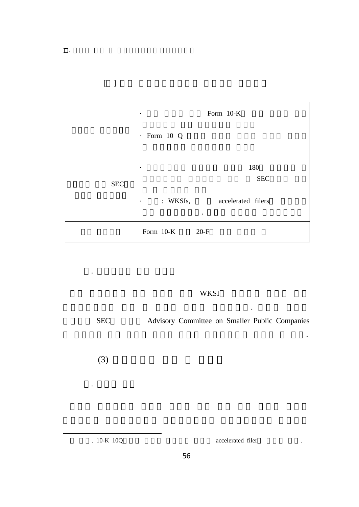|            | Form 10-K<br>$\bullet$                        |
|------------|-----------------------------------------------|
|            | $\cdot$ Form 10 Q                             |
|            | 180<br>٠                                      |
| <b>SEC</b> | <b>SEC</b>                                    |
|            | : WKSIs, accelerated filers<br>$\bullet$<br>, |
|            | Form 10-K 20-F                                |

### WKSI

SECAdvisory Committee on Smaller Public Companies

(3)

.

.

. 10-K 10Q accelerated filer .

.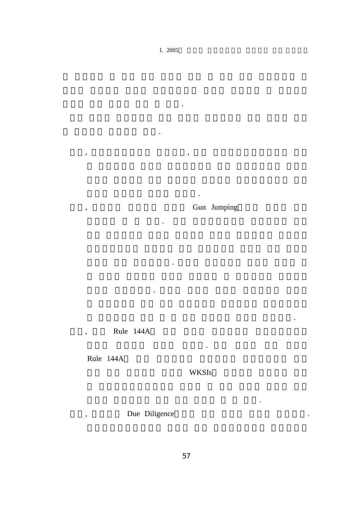.

.

.

.

, ,

.

, Gun Jumping

.

.

.

, Rule 144A

Rule 144A

WKSIs

.

, Due Diligence .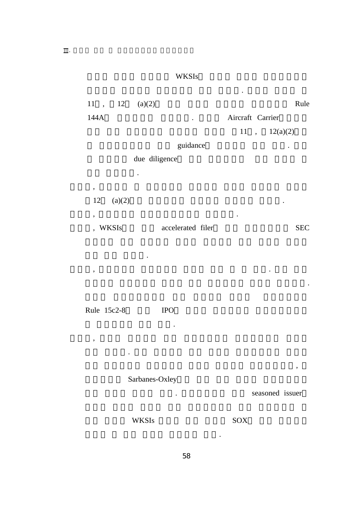#### WKSIs

.

| 11                       | $\overline{\phantom{a}}$ | 12           | (a)(2)        |                      |   |                  | Rule       |
|--------------------------|--------------------------|--------------|---------------|----------------------|---|------------------|------------|
| 144A                     |                          |              |               | $\ddot{\phantom{0}}$ |   | Aircraft Carrier |            |
|                          |                          |              |               |                      |   | 11, $12(a)(2)$   |            |
|                          |                          |              |               | guidance             |   |                  | $\bullet$  |
|                          |                          |              | due diligence |                      |   |                  |            |
|                          |                          |              | $\bullet$     |                      |   |                  |            |
| ,                        |                          |              |               |                      |   |                  |            |
| 12                       |                          | (a)(2)       |               |                      |   | $\bullet$        |            |
| $\overline{\phantom{a}}$ |                          |              |               |                      | ٠ |                  |            |
|                          |                          | <b>WKSIs</b> |               | accelerated filer    |   |                  | <b>SEC</b> |
|                          |                          |              |               |                      |   |                  |            |

, .

.

Rule 15c2-8 IPO

.

,

Sarbanes-Oxley

.

. seasoned issuer

,

.

 $\mathbf W \mathbf K \mathbf S \mathbf I$ s

SOX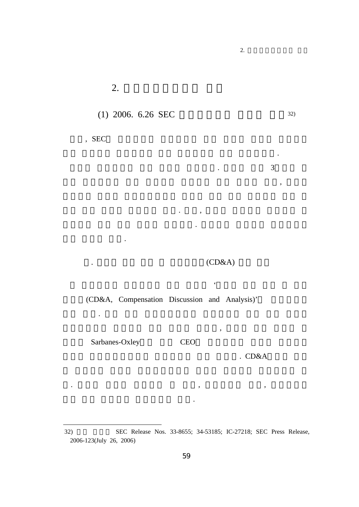. 3

.

,

 $\overline{3}$ 

2.

## (1) 2006. 6.26 SEC 32)

. ,

.

, SEC

.  $(CD&A)$ 

,

 $\epsilon$ 

(CD&A, Compensation Discussion and Analysis)'

. , ,

Sarbanes-Oxley CEO

.

.

. CD&A

<sup>32)</sup> SEC Release Nos. 33-8655; 34-53185; IC-27218; SEC Press Release, 2006-123(July 26, 2006)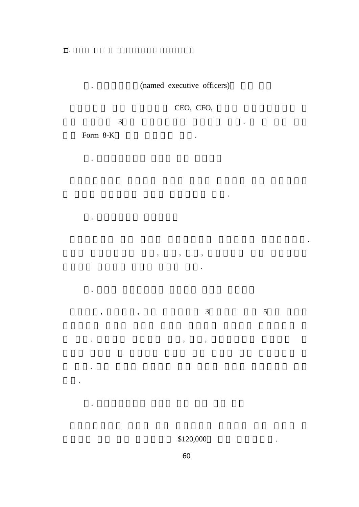. (named executive officers)

, , ,

. , ,

.

CEO, CFO,

3<u>.</u>

Form 8-K $\blacksquare$ .

.

.

.

.

.

.

, , 3 5

.

.

60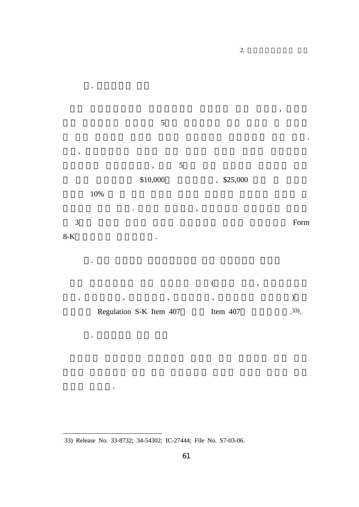

 $\ddot{\phantom{a}}$ 

 $\ddot{\phantom{0}}$ 

<sup>33)</sup> Release No. 33-8732; 34-54302; IC-27444; File No. S7-03-06.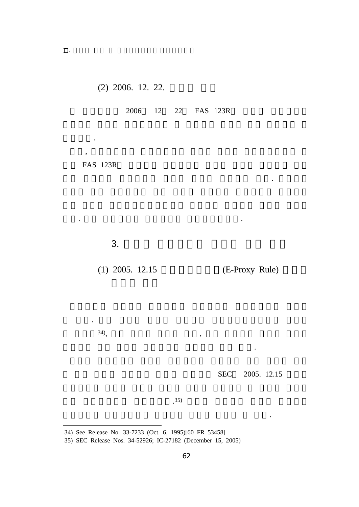## (2) 2006. 12. 22.

#### 200612 22 FAS 123R

. .

FAS 123R

.

,

3.

(1) 2005. 12.15 (E-Proxy Rule)

 $\ddot{\phantom{a}}$ 

.

34), ,

.

SEC2005. 12.15

.

.

.35)

<sup>34)</sup> See Release No. 33-7233 (Oct. 6, 1995)[60 FR 53458]

<sup>35)</sup> SEC Release Nos. 34-52926; IC-27182 (December 15, 2005)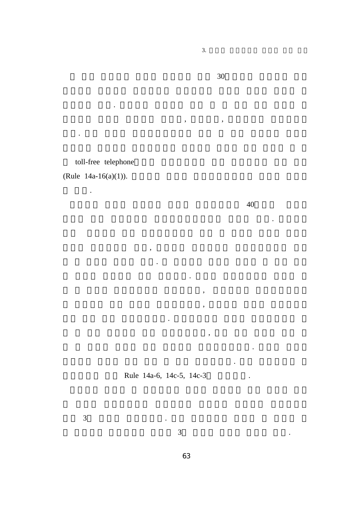toll-free telephone

.

(Rule 14a-16(a)(1)).

.

.

40

.

.

.

Rule 14a-6, 14c-5, 14c-3 .

.

,

.

.

,

,

,

3. , ,

30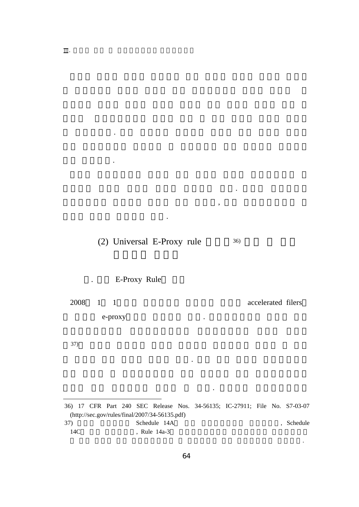## (2) Universal E-Proxy rule  $36$

.

.

,

. E-Proxy Rule

.

.

20081 1 accelerated filers

e-proxy

37)

36) 17 CFR Part 240 SEC Release Nos. 34-56135; IC-27911; File No. S7-03-07 (http://sec.gov/rules/final/2007/34-56135.pdf) 37) Schedule 14A , Schedule 14C, Rule 14a-3

.

.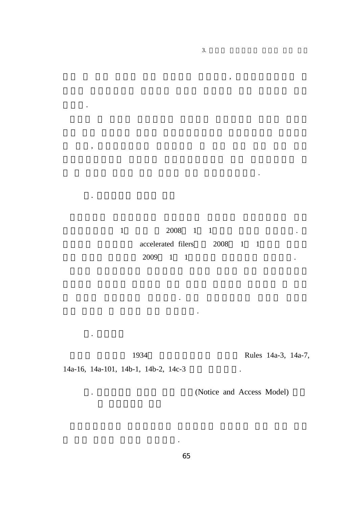#### 1 2008 1 1 . accelerated filers 2008 1 1 2009 $1 \quad 1 \qquad \qquad \ldots$

.

.

3.

,

.

1934

Rules 14a-3, 14a-7,

14a-16, 14a-101, 14b-1, 14b-2, 14c-3 .

.

,

.

.

. (Notice and Access Model)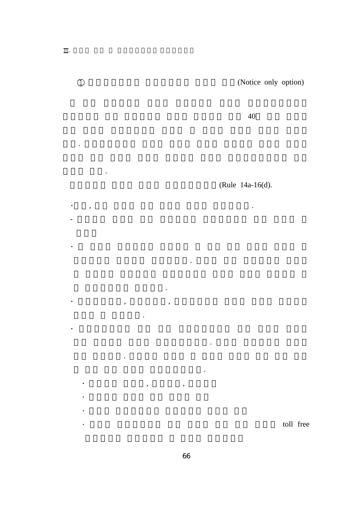$\mathbf{m}$ .

 $\mathbb O$ 

 $\ddot{\phantom{a}}$ 

 $\bullet$ 

 $\ddot{\phantom{0}}$ 

 $\hat{\textbf{r}}$ 

 $\ddot{\phantom{0}}$ 

 $\hat{\textbf{z}}$ 

 $\bullet$  $\bullet$ 

 $\bullet$ 

 $\overline{\phantom{a}}$ 

 $\ddot{\phantom{0}}$ 

(Notice only option)

40

(Rule 14a-16(d).

 $\ddot{\phantom{a}}$ 

toll free

 $\overline{\phantom{a}}$ 

 $\ddot{\phantom{a}}$ 

 $\ddot{\phantom{a}}$ 

 $\ddot{\phantom{a}}$ 

 $\ddot{\phantom{a}}$ 

 $\overline{\phantom{a}}$ 

 $\overline{\phantom{a}}$ 

 $\ddot{\phantom{a}}$ 

 $\ddot{\phantom{a}}$ 

 $\overline{\phantom{a}}$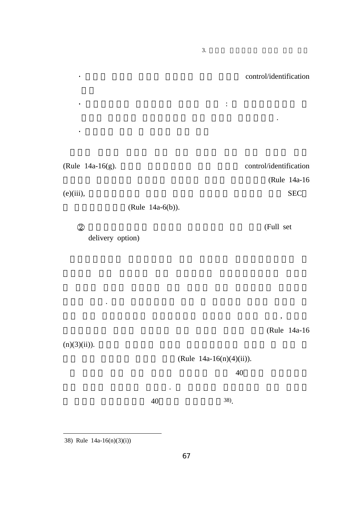control/identification

.

(Full set

(Rule 14a-16(g). control/identification (Rule 14a-16  $\sum_{i=1}^{\infty}$  (e)(iii), (Rule 14a-6(b)).

3.

:

 $\circledZ$ delivery option)

.

(Rule 14a-16

,

 $(n)(3)(ii)$ ).

 $\bullet$ 

 $\ddot{\phantom{a}}$ 

 $\ddot{\phantom{1}}$ 

(Rule 14a-16(n)(4)(ii)).

40

40

.

38).

38) Rule 14a-16(n)(3)(i))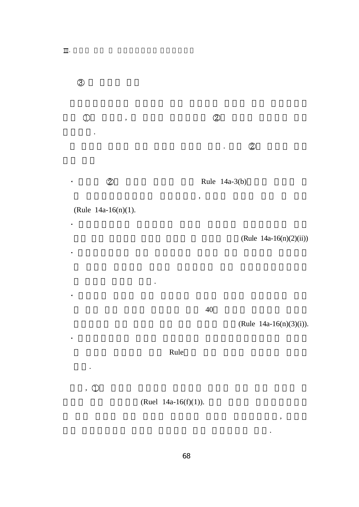



,

.

 $\circledZ$ 

(Rule 14a-16(n)(1).

(Rule 14a-16(n)(2)(ii))

40

(Rule 14a-16(n)(3)(i)).

,

.

Rule

.

,  $\circled{1}$ 

.

(Ruel 14a-16(f)(1)).

 $\ddot{\phantom{0}}$ 

 $\ddot{\phantom{0}}$ 

 $\ddot{\phantom{1}}$ 

 $\overline{\phantom{a}}$ 

 $\ddot{\phantom{0}}$ 

68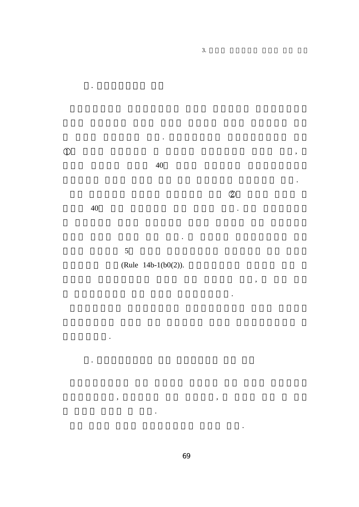$\circled{1}$ 

40

 $\ddot{\phantom{0}}$ 

 $\overline{3}$ .

 $\circledcirc$ 

 $\ddot{\phantom{a}}$ 

 $\overline{\phantom{a}}$ 

 $\ddot{\phantom{0}}$ 

 $\overline{\phantom{a}}$ 

 $\overline{\phantom{a}}$ 

 $\ddot{\phantom{a}}$ 

 $40\,$ 

 $\ddot{\phantom{0}}$ 

 $\overline{5}$ 

ï

 $\overline{\phantom{a}}$ 

(Rule  $14b-1(b0(2))$ .

 $\ddot{\phantom{a}}$ 

ï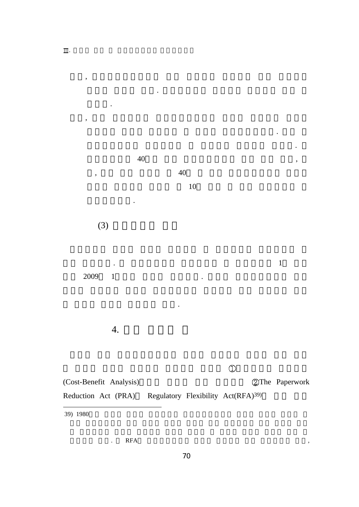

. RFA,

,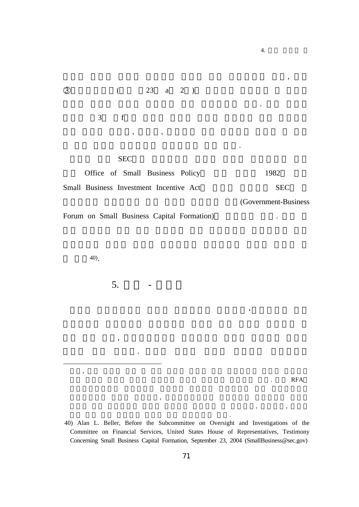$\circled{3}$  $($  23 a 2  $)$ 3 f , ,

SEC

| Office of Small Business Policy         | 1982                  |
|-----------------------------------------|-----------------------|
| Small Business Investment Incentive Act | <b>SEC</b>            |
|                                         | (Government-Business) |

Forum on Small Business Capital Formation) .

40).

,

5. -

,

.

,

. RFA

, ,

4.

.

.

,

40) Alan L. Beller, Before the Subcommittee on Oversight and Investigations of the Committee on Financial Services, United States House of Representatives, Testimony Concerning Small Business Capital Formation, September 23, 2004 (SmallBusiness@sec.gov)

.

 $\bullet$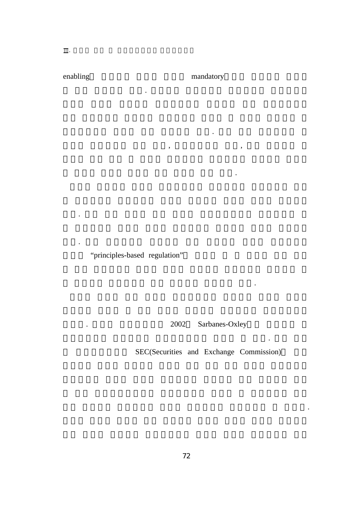.

enabling mandatory

.

.

.

.

.

, ,

"principles-based regulation"

.

. 2002 Sarbanes-Oxley

SEC(Securities and Exchange Commission)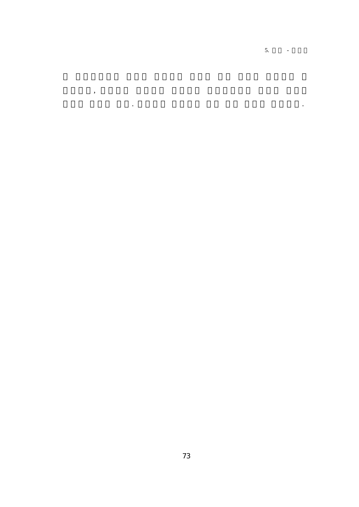$5.$ L

 $\ddot{\phantom{0}}$ 

 $\overline{\phantom{a}}$ 

 $\sim$   $\sim$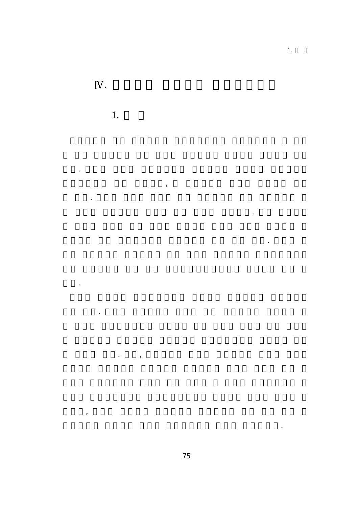

 $\overline{\phantom{a}}$ 

 $\ddot{\phantom{a}}$ 

 $\ddot{\phantom{0}}$ 

 $\ddot{\phantom{0}}$ 

 $\overline{\phantom{a}}$ 

 $\ddot{\phantom{0}}$ 

 $\overline{\phantom{a}}$ 

 $\ddot{\phantom{0}}$ 

 $\ddot{\phantom{0}}$ 

 $\cdot$ 

 $\ddot{\phantom{a}}$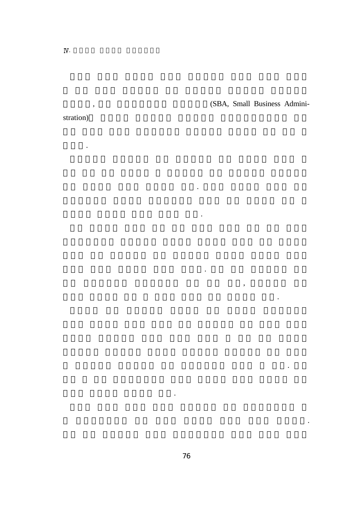(SBA, Small Business Admini-

stration)

 $\rightarrow$ 

 $\ddot{\phantom{a}}$ 

 $\ddot{\phantom{a}}$ 

 $\mathcal{L}^{(1)}$ 

 $\ddot{\phantom{a}}$ 

 $\ddot{\phantom{a}}$ 

 $\overline{\phantom{a}}$ 

 $\mathcal{A}$ 

 $\ddot{\phantom{a}}$ 

 $\ddot{\phantom{0}}$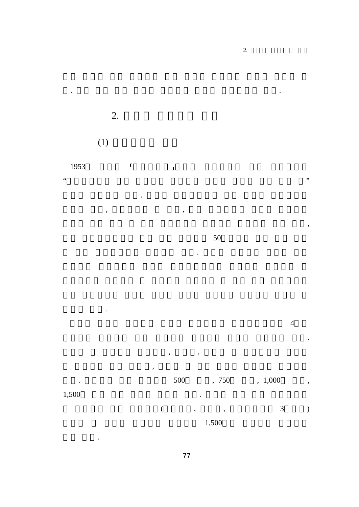

 $\ddot{\phantom{0}}$ 

 $\overline{a}$ 

 $\ddot{\phantom{a}}$ 

 $\overline{c}$ .

 $\cdot$ 

,,

 $\cdot$ 

 $\overline{4}$ 

 $\ddot{\phantom{a}}$ 



,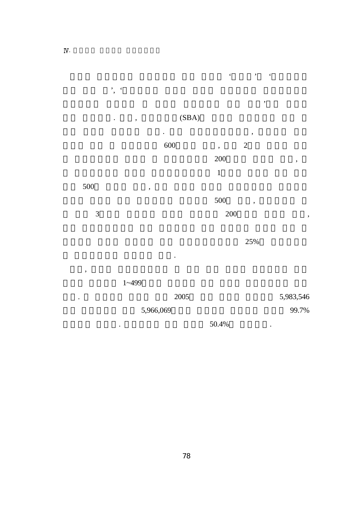

 $\overline{\phantom{a}}$ 

 $\sim$   $\sim$ 

 $\hat{\zeta}$ 

| 5,966,069 |       | 99.7% |
|-----------|-------|-------|
|           | 50.4% | ٠     |

78

 $\ddot{\phantom{a}}$ 

 $\ddot{\phantom{0}}$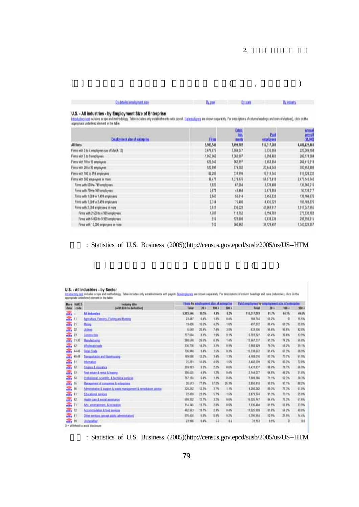| By detailed annihilated size | Памии | <b>The aturn</b> | <b>The students and</b> |
|------------------------------|-------|------------------|-------------------------|

U.S. - All industries - by Employment Size of Enterprise<br>introductory,test extures scope and methodology. Table includes only establishments with payrell. Handmalages are shown separately. For descriptions of column headin

|                                              | <b>DOM:</b> | <b>Extab.</b><br>list | <b>Palit</b> | Annual<br>payroll<br>(\$1,000) |
|----------------------------------------------|-------------|-----------------------|--------------|--------------------------------|
| Employment size of enterprise                | <b>Lims</b> | ments                 | employees    |                                |
| All firms                                    | 5,983,546   | 7,499,702             | 116,317,003  | 4,482,722,481                  |
| Firms with 0 to 4 employees (as of March 12) | 3,677,879   | 3,684,047             | 5.936.859    | 220,009,104                    |
| Firms with 5 to 9 employees                  | 1,050,062   | 1.062.907             | 6,096,483    | 206,178,084                    |
| Firms with 10 to 19 employees                | 629,946     | 662.197               | 8,453,854    | 269,416,918                    |
| Firms with 20 to 99 employees                | 520,007     | 679.382               | 20:444.349   | 700.463.403                    |
| Firms with 100 to 499 employees              | 87.285      | 331,999               | 16,911,040   | 616.524.232                    |
| Firms with 500 amployees or more.            | 17.477      | 1.079.170             | 57,672,418   | 2.470.140.740                  |
| Firms with 500 to 749 employees              | 5.823       | 67,664                | 3,639,488    | 135,660.210                    |
| Firms with 750 to 599 employees              | 2,070       | 43.464                | 2.470.859    | 95.130.017                     |
| Firms with 1,000 to 1,499 employees          | 2.845       | 56.614                | 3,456.833    | 139.104.670                    |
| Firms with 1,500 to 2,499 employees          | 2,314       | 75.406                | 4.436.321    | 186, 189, 676                  |
| Firms with 2,500 employees of more           | 3,617       | 836.022               | 43,761,917   | 1,915,047,955                  |
| Firms with 2,500 to 4,999 employees          | 1,787       | 111,762               | 6,199,701    | 276,630,183                    |
| Firms with 5,000 to 9,999 employees          | <b>VII</b>  | 123,800               | 6,438.639    | 297,593,015                    |
| Firms with 10,000 employees or more          | 912         | 600.462               | 31, 123, 497 | 1.340.023.957                  |

## : Statistics of U.S. Business (2005)(http://census.gov.epcd/susb/2005/us/US--HTM

| $\begin{bmatrix} 1 & 1 \\ 1 & 1 \end{bmatrix}$ |  | $($ $)$ |  |
|------------------------------------------------|--|---------|--|
|                                                |  |         |  |

|      | <b>More NAICS</b> | Industry title                                                    |                |        | Elemp by smployment size at enterprise |         |              | Paid employees by smalognmen size of emergetion |                  |         |  |
|------|-------------------|-------------------------------------------------------------------|----------------|--------|----------------------------------------|---------|--------------|-------------------------------------------------|------------------|---------|--|
| data | code              | Jwith link to definition)                                         | Total          | $20 -$ | 100.4                                  | $500 -$ | <b>Total</b> | $20 -$                                          | 100 <sub>4</sub> | $900 -$ |  |
| ж.   | $\equiv$          | <b>All industries</b>                                             | 5,983,544      | 10.5%  | US.                                    | 0.3%    | 116,317,003  | 81.7%                                           | 64.1%            | 49.6%   |  |
| ы.   | $\mathbf{H}$      | Agrounure, Forestry, Fishing and Hunting                          | 23,447         | 6.4%   | 1.3%                                   | 0.4%    | 168,744      | 55.2%                                           | Ð                | 15.5%   |  |
| 靐    | 21                | Meins                                                             | 15,408         | 16.0%  | 4.2%                                   | 1.6%    | 457,272      | 86.4%                                           | 49.3%            | 55.8%   |  |
| ш.   | $\overline{22}$   | <b>Indices</b>                                                    | 5,660          | 22.4%  | 7.4%                                   | 3.0%    | 633,106      | 56.6%                                           | 90.6%            | 82.8%   |  |
| ж,   | 23                | Construction                                                      | <b>TTT.664</b> | 3.1%   | 1.0%                                   | 0.1%    | 6.781.327    | 61.4%                                           | 30.6%            | 13.9%   |  |
| ×.   | 31-33             | Mandactoring                                                      | 208,568        | 26.0%  | 6.3%                                   | 1.4%    | 13,667,337   | 91.3%                                           | 74.2%            | 56.8%   |  |
|      | 42                | Vitalenate trade                                                  | 336.736        | 14.2%  | 3.2%                                   | 0.9%    | 6,968,929    | 79.3%                                           | 66.2%            | 39.1%   |  |
|      | 44-45             | <b>Fistal Trade</b>                                               | 736, 940       | 3.4%   | 1.6%                                   | 0.3%    | 15.338.672   | 81.4%                                           | 0.3%             | 18.9%   |  |
| т.   | 45.45             | Transportation and Warehousing                                    | 165,000        | 12.2%  | 3.4%                                   | 1.3%    | 4.188.016    | 87.3%                                           | 23.7%            | 61.9%   |  |
| ш.   | 55                | Information                                                       | 75,261         | 15.0%  | 4.0%                                   | 1.5%    | 3,402,559    | 92.7%                                           | 13.3%            | 73.0%   |  |
| S.   | 62                | Finance & Insurance                                               | 205, 983       | 1.3%   | 22%                                    | 8.6%    | 6.431.837    | 10.0%                                           | 78.1%            | 66.3%   |  |
| з.   | 53                | Real estate & vental & leasing                                    | 300.925        | 4.9%   | 1.2%                                   | 0.4%    | 2.144.077    | 64.6%                                           | 46.2%            | 31.8%   |  |
| ы.   | 54                | Professional, scientific, & technical entrices                    | 757.174        | 6.4%   | 1.3%                                   | 8.4%    | 7,689,366    | 71.1%                                           | 52.3%            | 38.3%   |  |
| ж.   | 锅                 | <b>Management of companies &amp; enterprises</b>                  | 26.613         | 77.9%  | 67.2%                                  | 26.3%   | 2,856,418    | 95.5%                                           | 97.1%            | 88.2%   |  |
| ж.   | 88                | Administrative & support & waste management & remediation service | 320,252        | 12.3%  | 17%                                    | 1.1%    | 9,200,282    | 85.3%                                           | 77.3%            | 61.0%   |  |
| 靐    | K1                | Educational services                                              | 72,410         | 23.0%  | 6.7%                                   | 1.5%    | 2,879.374    | \$1.3%                                          | 73.1%            | 55.0%   |  |
| æ.   | R2                | Health care & secon assistance                                    | 599.392        | 12.7%  | 32%                                    | 0.6%    | 16,025,147   | 84.4%                                           | 70.3%            | 51.6%   |  |
| ж,   | ħ                 | Att interanced & recredor                                         | 114.146        | 13.7%  | 2.8%                                   | 6.6%    | 1,936,484    | 81.6%                                           | 55.8%            | 33.9%   |  |
| ж.   | 72                | Accommodation & food aeristes                                     | 462,983        | 19.7%  | 23%                                    | 0.4%    | 11,025,509   | 81.0%                                           | 54.2%            | 40.0%   |  |
| м.   | Ħ                 | Other services issuest public administration)                     | 676,400        | 4.8%   | 23%                                    | 0.2%    | 6,390,954    | 12.9%                                           | 25.9%            | 14.4%   |  |
| щ.   | m                 | Unitessfied                                                       | 23.906         | 0.4%   | 0.0                                    | 资度      | 31.153       | 5.5%                                            | Ð                | 0.0     |  |

**China** 99 Unilage End<br>D - Witheld to mod disclosure

: Statistics of U.S. Business (2005)(http://census.gov.epcd/susb/2005/us/US--HTM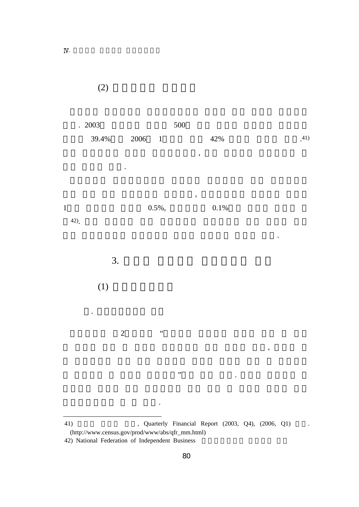|         | . 2003         |                                  | 500 |                          |   |      |
|---------|----------------|----------------------------------|-----|--------------------------|---|------|
|         | 39.4%          | 2006<br>$\overline{\phantom{0}}$ |     | 42%                      |   | .41) |
|         |                |                                  |     | $\overline{\phantom{a}}$ |   |      |
|         |                |                                  |     |                          |   |      |
|         |                |                                  |     | $\,$                     |   |      |
| $\,1\,$ |                | $0.5%$ ,                         |     | $0.1\%$                  |   |      |
| $42)$ . |                |                                  |     |                          |   |      |
|         |                |                                  |     |                          |   |      |
|         | 3.             |                                  |     |                          |   |      |
|         |                |                                  |     |                          |   |      |
|         | (1)            |                                  |     |                          |   |      |
|         |                |                                  |     |                          |   |      |
|         | $\overline{c}$ | $\overline{\mathcal{C}}$         |     |                          |   |      |
|         |                |                                  |     |                          | , |      |
|         |                |                                  |     |                          |   |      |
|         |                |                                  | ,   | $\ddot{\phantom{0}}$     |   |      |
|         |                |                                  |     |                          |   |      |

<sup>41) ,</sup> Quarterly Financial Report (2003, Q4), (2006, Q1) . (http://www.census.gov/prod/www/abs/qfr\_mm.html)

.

(2)

<sup>42)</sup> National Federation of Independent Business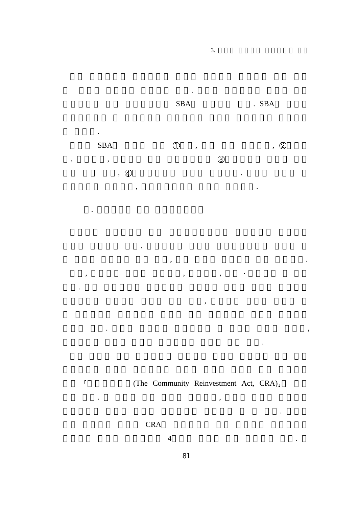

(The Community Reinvestment Act, CRA)

,

. ,

, where  $\cdot$  .

.

.

#### CRA

. ,

.

, , ,

.

.

 $\bar{\mathbf{r}}$ 

4. The contract of the contract of the contract of the contract of the contract of the contract of the contract of the contract of the contract of the contract of the contract of the contract of the contract of the contrac

81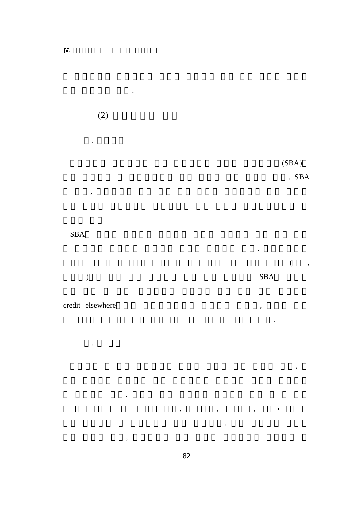.

.

,

(2)

.

,

.

(SBA)

.

.

 $\bullet$ 

,

# . SBA

## SBA

 $($ ,  $SBA$ 

#### credit elsewhere $\sim$ ,  $\sim$ ,  $\sim$ ,  $\sim$ ,  $\sim$ ,  $\sim$ ,  $\sim$ ,  $\sim$ ,  $\sim$ ,  $\sim$ ,  $\sim$ ,  $\sim$ ,  $\sim$ ,  $\sim$ ,  $\sim$ ,  $\sim$ ,  $\sim$ ,  $\sim$ ,  $\sim$ ,  $\sim$ ,  $\sim$ ,  $\sim$ ,  $\sim$ ,  $\sim$ ,  $\sim$ ,  $\sim$ ,  $\sim$ ,  $\sim$ ,  $\sim$ ,  $\sim$ ,  $\sim$ ,  $\sim$ ,  $\sim$ ,  $\sim$ ,  $\sim$ ,  $\sim$ ,  $\sim$ ,

.

82

, , ,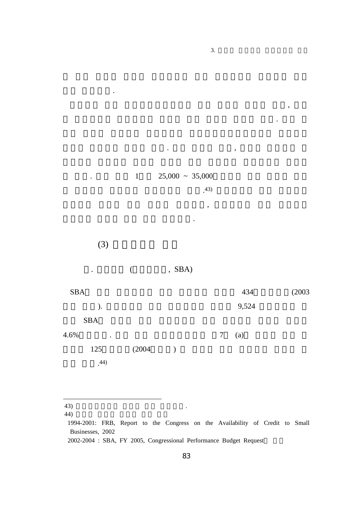

44)

 1994-2001: FRB, Report to the Congress on the Availability of Credit to Small Businesses, 2002

2002-2004 : SBA, FY 2005, Congressional Performance Budget Request

. ,

.43)

,

.

 $1 \t 25,000 \t - 35,000$ 

,

.

.

<sup>43) .</sup>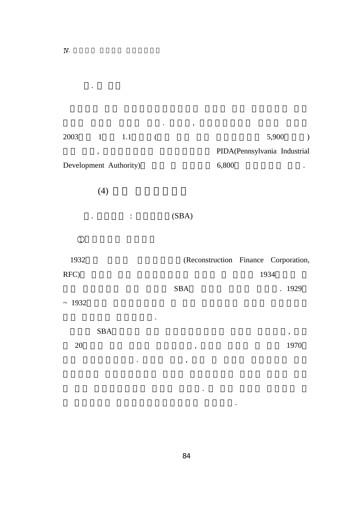| 2003                   |                          | $1 \qquad 1.1$ | $\left($ |                                      |                              | 5,900    | $\mathcal{L}$ |
|------------------------|--------------------------|----------------|----------|--------------------------------------|------------------------------|----------|---------------|
|                        | $\overline{\phantom{a}}$ |                |          |                                      | PIDA(Pennsylvania Industrial |          |               |
| Development Authority) |                          |                |          | 6,800                                |                              |          | $\bullet$     |
|                        | (4)                      |                |          |                                      |                              |          |               |
|                        |                          | $\ddot{\cdot}$ |          | (SBA)                                |                              |          |               |
| $^\copyright$          |                          |                |          |                                      |                              |          |               |
| 1932                   |                          |                |          | (Reconstruction Finance Corporation, |                              |          |               |
| RFC)                   |                          |                |          |                                      |                              | 1934     |               |
|                        |                          |                |          | <b>SBA</b>                           |                              | . 1929   |               |
| ~1932                  |                          |                |          |                                      |                              |          |               |
|                        |                          |                |          |                                      |                              |          |               |
|                        | <b>SBA</b>               |                |          |                                      |                              | $^\circ$ |               |
| 20                     |                          |                |          |                                      |                              |          | 1970          |

. ,

.

.

.

. ,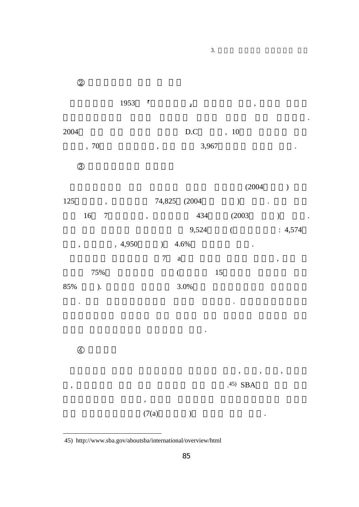$^{\circledR}$ 1953, and the set of  $\mathbf{I}$  and  $\mathbf{I}$  , and  $\mathbf{I}$  , and  $\mathbf{I}$  , and  $\mathbf{I}$  , and  $\mathbf{I}$ 2004

3.

.

4 D.C , 10 ,  $70$  ,  $3,967$  .

 $\circledS$  $(2004)$ 12574,825 (2004 ) 16 7 , 434 (2003 ) . 9,524 ( : 4,574 , ,  $4,950$  )  $4.6\%$  . 7 $\sqrt{a}$ , ,

75%%  $($  15 85% ). 3.0%

. .

, .45) SBA

, , ,

 $\ddot{\phantom{0}}$ 

.

 $(7(a)$  ) .

,

 $\bigcirc$ 

<sup>45)</sup> http://www.sba.gov/aboutsba/international/overview/html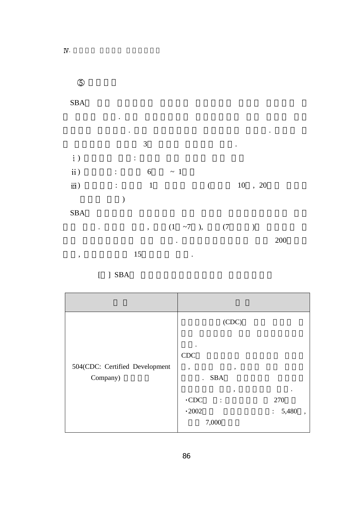$\circ$ SBA .  $\ddot{\phantom{a}}$ . . 3 .  $\begin{array}{cccc} i\end{array} \qquad \qquad : \qquad \qquad$ ii) : 6  $\sim 1$ iii) : 1 (  $10, 20$ ) SBA . , (1  $\sim$ 7 ), (7 ) . 200 ,  $15$  .

[ ] SBA

|                                            | (CDC)                                                                                                                                                     |
|--------------------------------------------|-----------------------------------------------------------------------------------------------------------------------------------------------------------|
| 504(CDC: Certified Development<br>Company) | CDC<br>$\overline{\phantom{a}}$<br>$\cdot$<br><b>SBA</b><br>,<br>٠<br>$\cdot$ CDC<br>270<br>$\ddot{\cdot}$<br>5,480<br>$-2002$<br>$\ddot{\cdot}$<br>7,000 |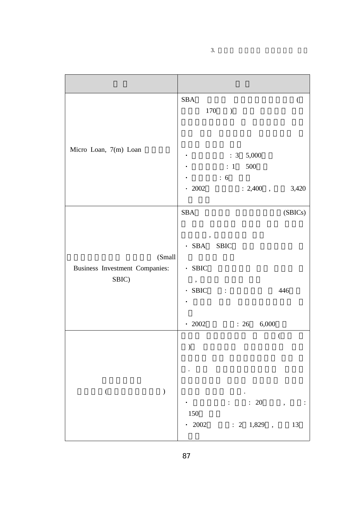| Micro Loan, 7(m) Loan                             | SBA<br>$\left($<br>170<br>$\mathcal{L}$<br>:3 5,000<br>$\epsilon$ , and $\epsilon$ , and $\epsilon$ , and $\epsilon$<br>500<br>$\therefore$ 6<br>: 2,400, 3,420<br>$\cdot$ 2002  |
|---------------------------------------------------|----------------------------------------------------------------------------------------------------------------------------------------------------------------------------------|
| (Small<br>Business Investment Companies:<br>SBIC) | <b>SBA</b><br>(SBICs)<br>$\overline{\phantom{a}}$<br>SBA SBIC<br>$\cdot$ SBIC<br>$\,$ ,<br>$SBIC$ :<br>446<br>$: 26$ 6,000<br>$\cdot$ 2002                                       |
| $\overline{(}$<br>$\mathcal{C}^{\prime}$          | $\overline{(\ }$<br>$\mathcal{E}$<br>$\therefore$ 20<br>$\mathbb{R}^{n \times n}$<br>$\bullet$ .<br>$\overline{\phantom{a}}$<br>150<br>$\cdot$ 2002<br>$: 2 \quad 1,829$ ,<br>13 |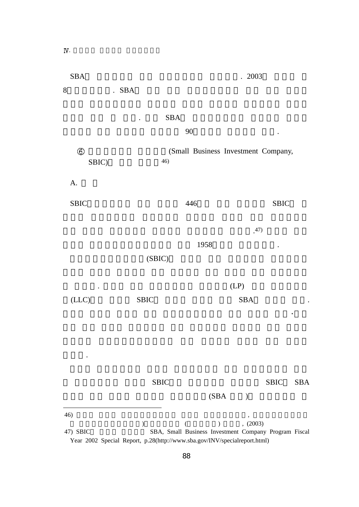SBA . 2003 88 . SBA . SBA90 $\sim$  . The contract of  $\sim$  .  $\circledcirc$ (Small Business Investment Company, SBIC) 46) A. SBIC $\rm C \qquad \qquad 446 \qquad \qquad SBIC$ .47) 1958 . (SBIC) .  $(LP)$ (LLC) SBIC SBA . . **SBIC**  $SBIC$ **SBA**  $(SBA)$ 46) ,  $($  ) ,  $(2003)$ 47) SBIC SBA, Small Business Investment Company Program Fiscal Year 2002 Special Report, p.28(http://www.sba.gov/INV/specialreport.html)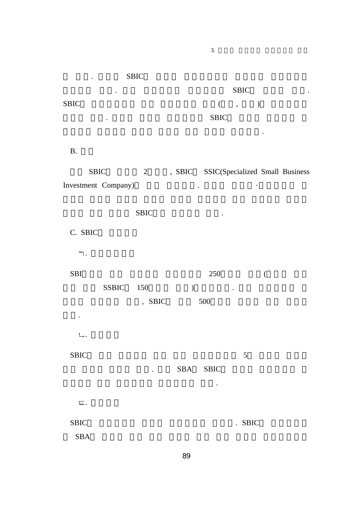**SBIC** 

. SBIC ST

. SBIC  $\qquad \qquad$  .

3.

SBIC

 $($ ,  $)$ . SBIC

.

B.

SBIC 2 , SBIC SSIC(Specialized Small Business Investment Company) .  $\ddot{\phantom{1}}$ 

|             |              | <b>SBIC</b>          |               | $\bullet$   |                                     |
|-------------|--------------|----------------------|---------------|-------------|-------------------------------------|
| C. SBIC     |              |                      |               |             |                                     |
| ┑.          |              |                      |               |             |                                     |
| SBI         |              |                      |               | 250         | $\overline{(}$                      |
|             | <b>SSBIC</b> | 150                  | $\mathcal{E}$ |             | $\bullet$                           |
|             |              | $,$ SBIC             |               | 500         |                                     |
|             |              |                      |               |             |                                     |
|             |              |                      |               |             |                                     |
| <b>SBIC</b> |              |                      |               |             | $\mathfrak{S}$                      |
|             |              | $\ddot{\phantom{0}}$ | SBA           | <b>SBIC</b> |                                     |
|             |              |                      |               |             |                                     |
| 匸.          |              |                      |               |             |                                     |
| <b>SBIC</b> |              |                      |               |             | <b>SBIC</b><br>$\ddot{\phantom{0}}$ |

SBA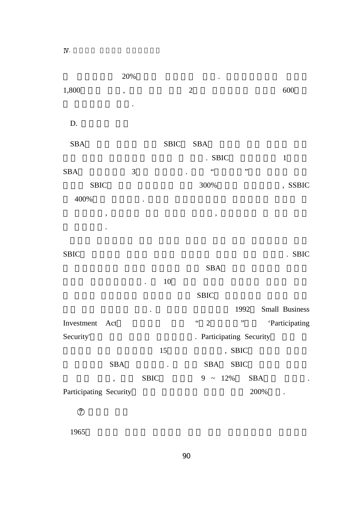|                        | 20%                 |             |                              |             |                |
|------------------------|---------------------|-------------|------------------------------|-------------|----------------|
| 1,800                  | ,                   |             | $\overline{2}$               |             | 600            |
|                        |                     |             |                              |             |                |
|                        |                     |             |                              |             |                |
| D.                     |                     |             |                              |             |                |
| <b>SBA</b>             |                     | <b>SBIC</b> | <b>SBA</b>                   |             |                |
|                        |                     |             | . SBIC                       |             | $\mathbf 1$    |
| <b>SBA</b>             | 3                   |             | $\zeta$ $\zeta$              | ,,          |                |
| <b>SBIC</b>            |                     |             | 300%                         |             | , SSBIC        |
| 400%                   |                     |             |                              |             |                |
|                        |                     |             |                              |             |                |
|                        | $\pmb{\mathcal{E}}$ |             | ,                            |             |                |
|                        |                     |             |                              |             |                |
|                        |                     |             |                              |             |                |
| <b>SBIC</b>            |                     |             |                              |             | . SBIC         |
|                        |                     |             | <b>SBA</b>                   |             |                |
|                        |                     | 10          |                              |             |                |
|                        |                     |             | <b>SBIC</b>                  |             |                |
|                        |                     |             |                              | 1992        | Small Business |
| Investment             | Act                 |             | $\epsilon$<br>$\overline{2}$ | ,,          | 'Participating |
| Security'              |                     |             | . Participating Security     |             |                |
|                        |                     | 15          | , SBIC                       |             |                |
|                        | <b>SBA</b>          |             | <b>SBA</b>                   | <b>SBIC</b> |                |
|                        | ,                   | <b>SBIC</b> | $9 \sim 12\%$                | <b>SBA</b>  |                |
| Participating Security |                     |             |                              | 200%        |                |
| $^\circledR$           |                     |             |                              |             |                |

1965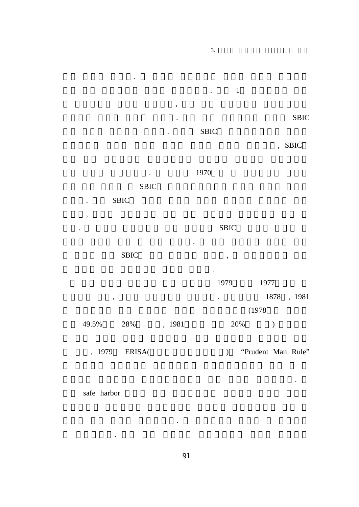$\ddot{\phantom{a}}$  $\overline{1}$  $\mathbb{Z}^{\mathbb{Z}^2}$  $\overline{\phantom{a}}$ **SBIC**  $\overline{a}$ **SBIC**  $\ddot{\phantom{0}}$ , SBIC 1970  $\sim 10^{-1}$ **SBIC SBIC**  $\ddot{\phantom{a}}$  $\overline{\phantom{a}}$ **SBIC**  $\ddot{\phantom{0}}$  $\ddot{\phantom{a}}$ **SBIC**  $\overline{\phantom{a}}$ 1979 1977 1878, 1981  $\mathcal{L}^{\text{max}}$  $\, ,$  $(1978)$  $\overline{\phantom{a}}$ 49.5% 28% , 1981 20%  $\ddot{\phantom{0}}$ , 1979 ERISA( ) "Prudent Man Rule"

 $3.$ 

safe harbor

 $\ddot{\phantom{a}}$ 

 $\ddot{\phantom{a}}$ 

 $\mathbb{Z}^{\mathbb{Z}}$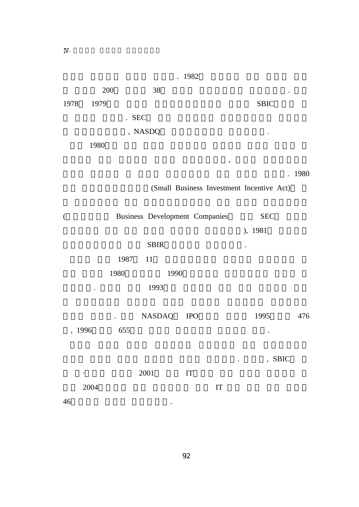. 1982 200 $\frac{38}{100}$  . 19788 1979 SBIC . SEC , NASDQ . 1980 , (Small Business Investment Incentive Act) ( Business Development Companies SEC ), 1981 SBIR . 1987 11 1980 1990 . 1993 . NASDAQ IPO 1995 476 , 1996 655 .

. , SBIC · 2001 IT2004 IT 46

 $\sim$  . The set of the set of the set of the set of the set of the set of the set of the set of the set of the set of the set of the set of the set of the set of the set of the set of the set of the set of the set of the s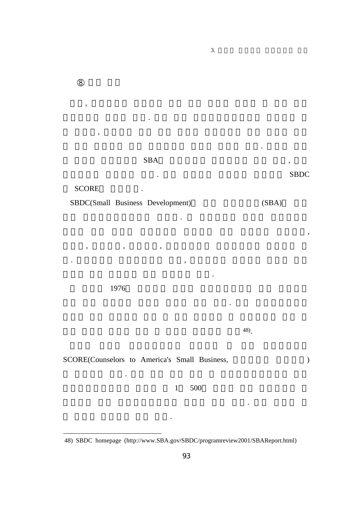,

,

 $^{\circledR}$ 

SBA $\overline{\phantom{a}}$ ,  $\overline{\phantom{a}}$ ,  $\overline{\phantom{a}}$ ,  $\overline{\phantom{a}}$ ,  $\overline{\phantom{a}}$ ,  $\overline{\phantom{a}}$ ,  $\overline{\phantom{a}}$ ,  $\overline{\phantom{a}}$ ,  $\overline{\phantom{a}}$ ,  $\overline{\phantom{a}}$ ,  $\overline{\phantom{a}}$ ,  $\overline{\phantom{a}}$ ,  $\overline{\phantom{a}}$ ,  $\overline{\phantom{a}}$ ,  $\overline{\phantom{a}}$ ,  $\overline{\phantom{a}}$ ,  $\overline{\phantom{a}}$ ,

.

## . SBDC

,

.

## SCORE .

SBDC(Small Business Development) (SBA)

.

.

1976

, , ,

. ,

48).

.

.

## SCORE(Counselors to America's Small Business, )

.

#### 1500

<sup>48)</sup> SBDC homepage (http://www.SBA.gov/SBDC/programreview2001/SBAReport.html)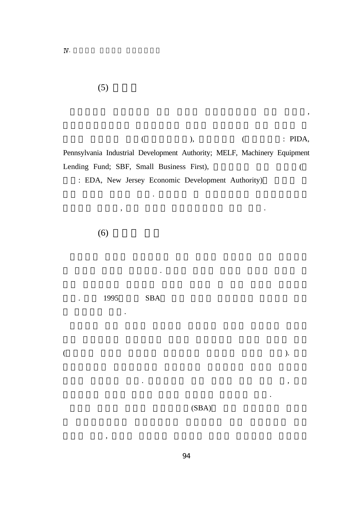$($ ,  $)$ ,  $($  : PIDA, Pennsylvania Industrial Development Authority; MELF, Machinery Equipment Lending Fund; SBF, Small Business First), (

,  $\cdot$  .

,

: EDA, New Jersey Economic Development Authority)

.

.

(6)

,

(5)

. 19955 SBA

(SBA)

. ,

 $($  ).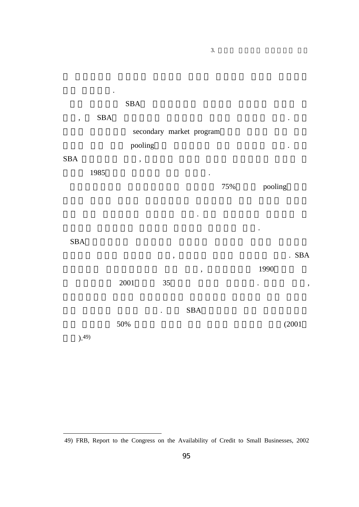|                          |                      | $\operatorname{SBA}$     |               |                          |     |         |               |
|--------------------------|----------------------|--------------------------|---------------|--------------------------|-----|---------|---------------|
| $\overline{\phantom{a}}$ | $\operatorname{SBA}$ |                          |               |                          |     |         |               |
|                          |                      |                          |               | secondary market program |     |         |               |
|                          |                      | pooling                  |               |                          |     |         |               |
| $\operatorname{SBA}$     |                      | $\overline{\phantom{a}}$ |               |                          |     |         |               |
|                          | 1985                 |                          |               |                          |     |         |               |
|                          |                      |                          |               |                          | 75% | pooling |               |
|                          |                      |                          |               |                          |     |         |               |
|                          |                      |                          |               |                          |     |         |               |
|                          |                      |                          |               |                          |     |         |               |
| $\operatorname{SBA}$     |                      |                          |               |                          |     |         | . SBA         |
|                          |                      |                          | $\pmb{\cdot}$ | $\pmb{\cdot}$            |     | 1990    |               |
|                          |                      | $2001\,$                 | 35            |                          |     |         | $^\mathrm{o}$ |
|                          |                      |                          |               | <b>SBA</b>               |     |         |               |
|                          |                      | $50\%$                   |               |                          |     |         | (2001         |
| ). <sup>49</sup>         |                      |                          |               |                          |     |         |               |
|                          |                      |                          |               |                          |     |         |               |

95

<sup>49)</sup> FRB, Report to the Congress on the Availability of Credit to Small Businesses, 2002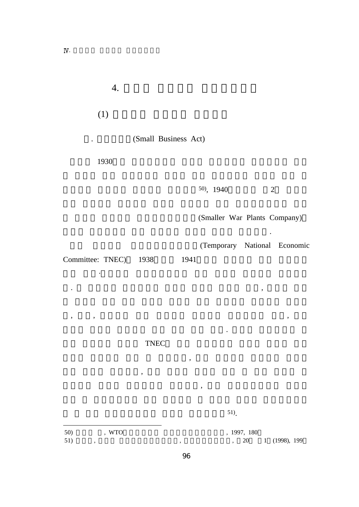(1)

. (Small Business Act)

1930

50), 1940 2

.

51).

(Smaller War Plants Company)

(Temporary National Economic

.

Committee: TNEC) 1938 1941

·

TNEC

,

. ,

, , ,

,

,

50) , WTO , 1997, 180

51) , , , 20 1 (1998), 199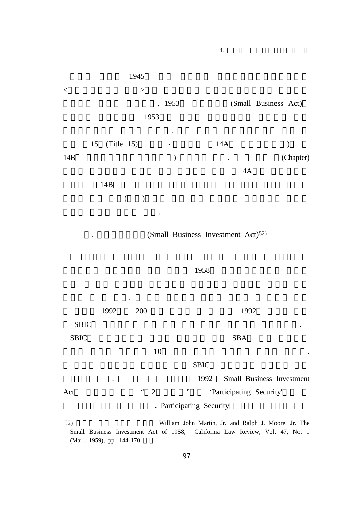1945  $\,<$  $<$   $>$ , 1953 (Small Business Act) . 1953 . 15 (Title 15) • 14A (19) 14B) and the contract of  $(Chapter)$ 14A 14B  $($   $)$ 

.

.

.

. (Small Business Investment Act)<sup>52)</sup>

4.

#### 1958

|             | 1992 | 2001                                                 | . 1992                            |  |  |  |  |
|-------------|------|------------------------------------------------------|-----------------------------------|--|--|--|--|
| <b>SBIC</b> |      |                                                      |                                   |  |  |  |  |
| <b>SBIC</b> |      |                                                      | <b>SBA</b>                        |  |  |  |  |
|             |      | 10                                                   |                                   |  |  |  |  |
|             |      |                                                      | <b>SBIC</b>                       |  |  |  |  |
|             | ٠    |                                                      | Small Business Investment<br>1992 |  |  |  |  |
| Act         |      | $\,$ 6 6 $\,$<br>$\mathcal{D}$                       | ,,<br>'Participating Security'    |  |  |  |  |
|             |      |                                                      | . Participating Security          |  |  |  |  |
| 52)         |      | William John Martin, Jr. and Ralph J. Moore, Jr. The |                                   |  |  |  |  |

Small Business Investment Act of 1958, California Law Review, Vol. 47, No. 1 (Mar., 1959), pp. 144-170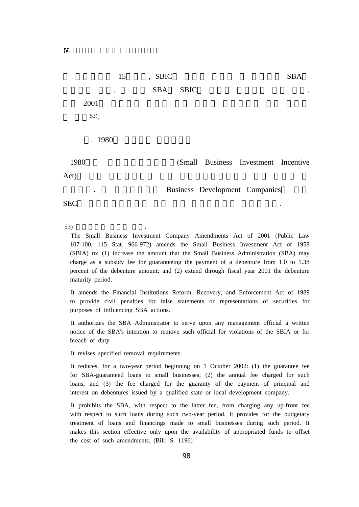|            | 15 | , SBIC     |             |                                      | <b>SBA</b> |
|------------|----|------------|-------------|--------------------------------------|------------|
| $\bullet$  |    | <b>SBA</b> | <b>SBIC</b> |                                      |            |
| 2001       |    |            |             |                                      |            |
| $53)$ .    |    |            |             |                                      |            |
| . 1980     |    |            |             |                                      |            |
| 1980       |    |            |             | (Small Business Investment Incentive |            |
| Act)       |    |            |             |                                      |            |
| $\bullet$  |    |            |             | Business Development Companies       |            |
| <b>SEC</b> |    |            |             |                                      | ٠          |

53) .

 It amends the Financial Institutions Reform, Recovery, and Enforcement Act of 1989 to provide civil penalties for false statements or representations of securities for purposes of influencing SBA actions.

 It authorizes the SBA Administrator to serve upon any management official a written notice of the SBA's intention to remove such official for violations of the SBIA or for breach of duty.

It revises specified removal requirements.

 It reduces, for a two-year period beginning on 1 October 2002: (1) the guarantee fee for SBA-guaranteed loans to small businesses; (2) the annual fee charged for such loans; and (3) the fee charged for the guaranty of the payment of principal and interest on debentures issued by a qualified state or local development company.

 It prohibits the SBA, with respect to the latter fee, from charging any up-front fee with respect to such loans during such two-year period. It provides for the budgetary treatment of loans and financings made to small businesses during such period. It makes this section effective only upon the availability of appropriated funds to offset the cost of such amendments. (Bill: S. 1196)

The Small Business Investment Company Amendments Act of 2001 (Public Law 107-100, 115 Stat. 966-972) amends the Small Business Investment Act of 1958 (SBIA) to: (1) increase the amount that the Small Business Administration (SBA) may charge as a subsidy fee for guaranteeing the payment of a debenture from 1.0 to 1.38 percent of the debenture amount; and (2) extend through fiscal year 2001 the debenture maturity period.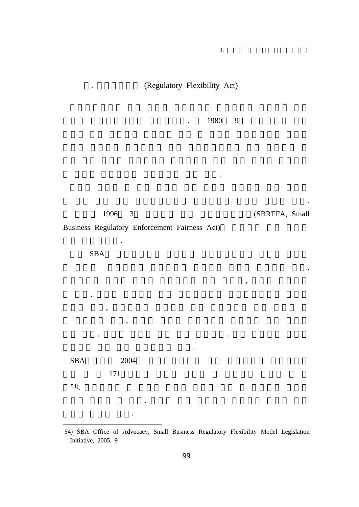. (Regulatory Flexibility Act)

. 1980 9

1996

.

3 (SBREFA, Small

,

.

.

## Business Regulatory Enforcement Fairness Act)

SBA

,

SBA 2004 171 54).

,

,

, where  $\cdot$ 

.

.

<sup>54)</sup> SBA Office of Advocacy, Small Business Regulatory Flexibility Model Legislation Initiative, 2005. 9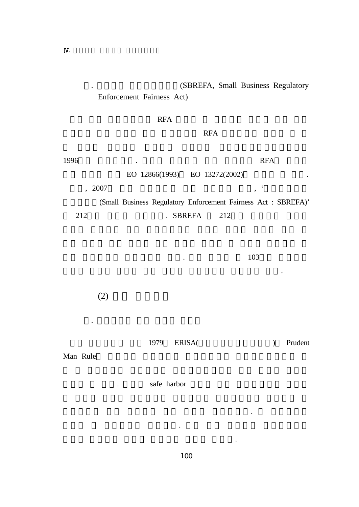. (SBREFA, Small Business Regulatory Enforcement Fairness Act)

#### RFA

RFA

1996 . RFA**RFA** EO 12866(1993) EO 13272(2002) , 2007 , ' (Small Business Regulatory Enforcement Fairness Act : SBREFA)' 212. SBREFA 212

. 103

.

.

.

(2)

.

1979ERISA(
) Prudent

Man Rule

. safe harbor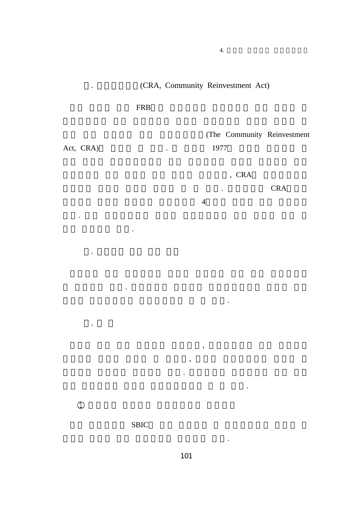(CRA, Community Reinvestment Act)

# **FRB**

 $\ddot{\phantom{a}}$ 

 $\ddot{\phantom{0}}$ 

 $\ddot{\phantom{a}}$ 

Act, CRA)

 $\ddot{\phantom{a}}$ 

 $\ddot{\phantom{a}}$ 

 $\ddot{\phantom{0}}$ 

 $\ddot{\phantom{a}}$ 

(The Community Reinvestment 1977

, CRA

 $\mathcal{L}^{\text{max}}$ 

 $\ddot{\phantom{0}}$ 

 $\ddot{\phantom{a}}$ 

 $\ddot{\phantom{a}}$ 

 $\overline{4}$ 

 $\overline{\phantom{a}}$ 

 $\overline{\phantom{a}}$ 

**CRA** 

 $\mathbb O$ 

 ${\bf S} {\bf B} {\bf I} {\bf C}$ 

 $\overline{4}$ .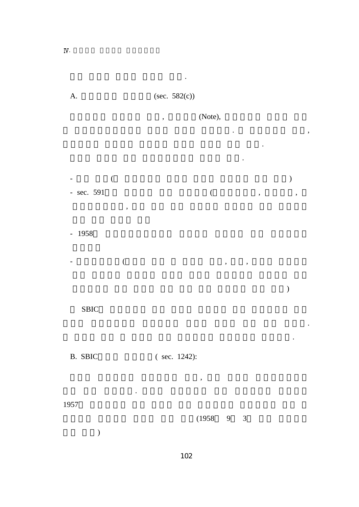A. (sec. 582(c)) , (Note), . , . .  $-$  ( ) - sec. 591 ( , , , - 1958 — процессионализация (процессионализация в процессионализация в процессионализация (процессионализация в профе<br>Село в процессионализация (профессионализация в профессионализация в профессионализация (профессионализация в<br> ) SBIC . B. SBIC ( sec. 1242): , . 1957  $(1958 \t 9 \t 3)$ )

.

.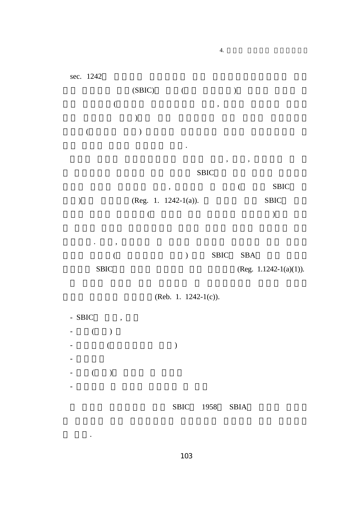sec. 1242

 $\qquad \qquad (SBIC) \qquad \qquad ($  $($ ,  $,$ )  $($ .

SBIC

, ,

4.

, ( SBIC ) (Reg. 1. 1242-1(a)). SBIC  $($  )

. , ( ) SBIC SBA SBIC(Reg. 1.1242-1(a)(1)).

(Reb. 1. 1242-1(c)).

- SBIC ,  $($   $)$ - ( ) -  $-$  ( )

SBIC1958 SBIA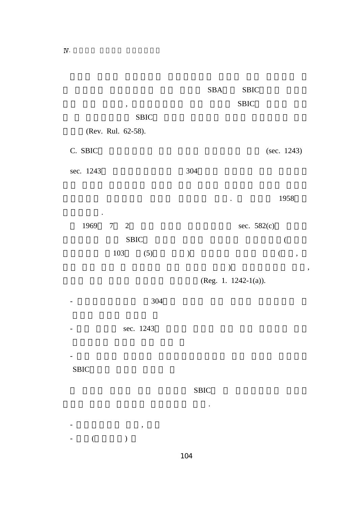|                                                                                  | SBA<br><b>SBIC</b>                                                        |
|----------------------------------------------------------------------------------|---------------------------------------------------------------------------|
| ,                                                                                | <b>SBIC</b>                                                               |
| <b>SBIC</b>                                                                      |                                                                           |
| (Rev. Rul. 62-58).                                                               |                                                                           |
| C. SBIC                                                                          | (sec. 1243)                                                               |
| sec. 1243                                                                        | 304                                                                       |
|                                                                                  |                                                                           |
|                                                                                  | 1958                                                                      |
|                                                                                  |                                                                           |
| 1969<br>$\boldsymbol{7}$<br>$\mathbf{2}$                                         | sec. 582(c)                                                               |
| <b>SBIC</b>                                                                      | $\left($                                                                  |
| 103<br>(5)                                                                       | $\mathcal{E}$<br>$\overline{\left( \right. }$<br>$\overline{\phantom{a}}$ |
|                                                                                  | $\big)$<br>$\pmb{\cdot}$                                                  |
|                                                                                  | (Reg. 1. 1242-1(a)).                                                      |
| 304                                                                              |                                                                           |
|                                                                                  |                                                                           |
| sec. 1243                                                                        |                                                                           |
|                                                                                  |                                                                           |
|                                                                                  |                                                                           |
| <b>SBIC</b>                                                                      |                                                                           |
|                                                                                  |                                                                           |
|                                                                                  | <b>SBIC</b>                                                               |
|                                                                                  |                                                                           |
| $\qquad \, ,$                                                                    |                                                                           |
| $\begin{array}{c} \hline \end{array}$<br>$\overline{(\ }$<br>$\omega_{\rm{max}}$ |                                                                           |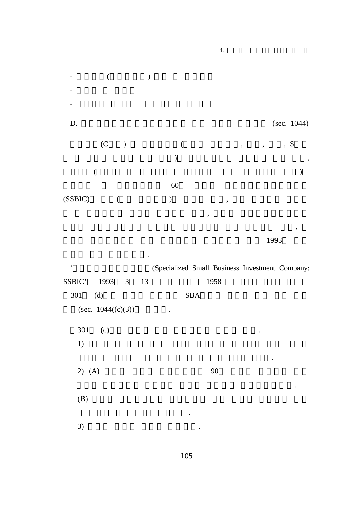

1993

.

| $\boldsymbol{\zeta}$ |                      |  | (Specialized Small Business Investment Company: |            |      |           |  |
|----------------------|----------------------|--|-------------------------------------------------|------------|------|-----------|--|
| SSBIC' 1993 3 13     |                      |  |                                                 |            | 1958 |           |  |
| 301                  | (d)                  |  |                                                 | <b>SBA</b> |      |           |  |
|                      | (sec. $1044((c)(3))$ |  |                                                 |            |      |           |  |
| 301                  | (c)                  |  |                                                 |            |      | $\bullet$ |  |
| 1)                   |                      |  |                                                 |            |      |           |  |
| $2)$ (A)             |                      |  |                                                 |            | 90   | $\bullet$ |  |
|                      |                      |  |                                                 |            |      |           |  |
| (B)                  |                      |  |                                                 |            |      |           |  |
| 3)                   |                      |  | $\bullet$                                       | ٠          |      |           |  |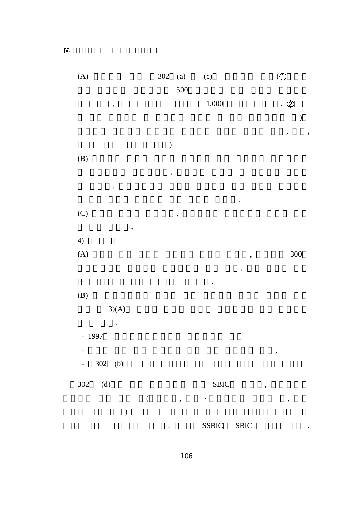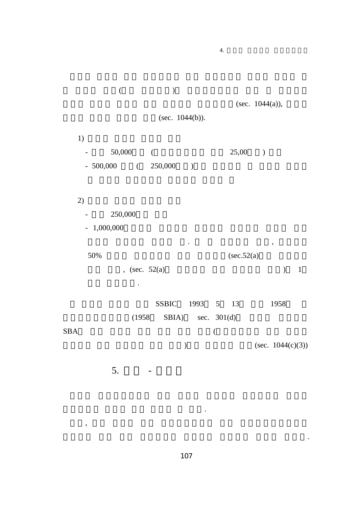$($ (sec. 1044(a)), (sec. 1044(b)). 1) - 50,000 ( 25,00 ) - 500,000 ( 250,000 ) 2) - 250,000 - 1,000,000

4.

. ,

50% (sec.52(a) , (sec.  $52(a)$ ) 1 . SSBIC 1993 5 13 1958 (1958 SBIA) sec. 301(d) SBA $\mathbf A$  (  $(sec. 1044(c)(3))$ 

5. -

,

.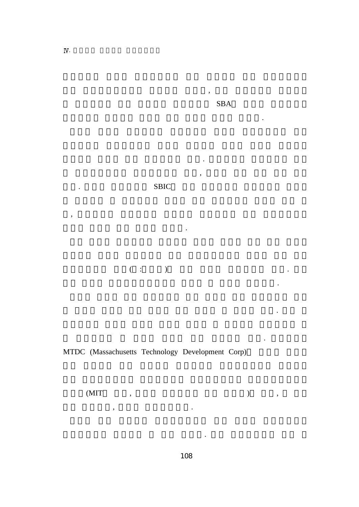,



.

.

.

.

,

.

,

.

. SBIC

 $( \begin{array}{ccc} . & . & . \end{array} )$ 

MTDC (Massachusetts Technology Development Corp)

, the state of the state  $\mathbf{a}$  , the state of the state  $\mathbf{a}$ 

 $(MIT \qquad , \qquad ) \qquad ,$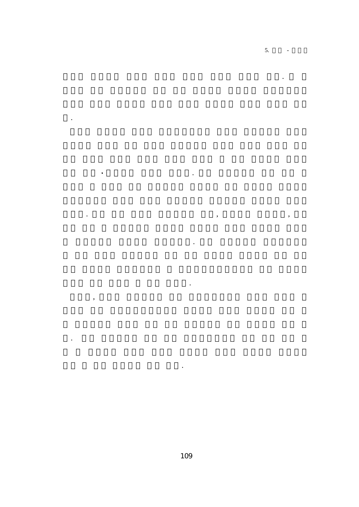$\overline{\phantom{a}}$ 

 $\ddot{\phantom{0}}$ 

 $\ddot{\phantom{a}}$ 

 $\overline{\phantom{a}}$ 

 $\ddot{\phantom{0}}$ 

 $\ddot{\phantom{0}}$ 

 $\ddot{\phantom{0}}$ 

,

 $\ddot{\phantom{0}}$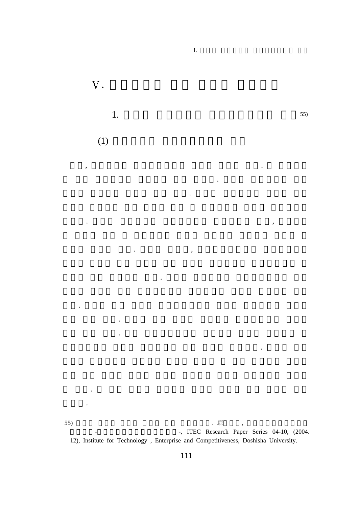

 $\overline{1}$ .

 $(1)$ 

 $\overline{\phantom{a}}$ 

 $\overline{a}$ 

 $\cdot$ 

 $\overline{\phantom{a}}$ 

 $\ddot{\phantom{a}}$ 

 $\ddot{\phantom{a}}$ 

55) . 廘  $\overline{\phantom{a}}$ -, ITEC Research Paper Series 04-10, (2004.  $\frac{1}{2}$ 12), Institute for Technology, Enterprise and Competitiveness, Doshisha University.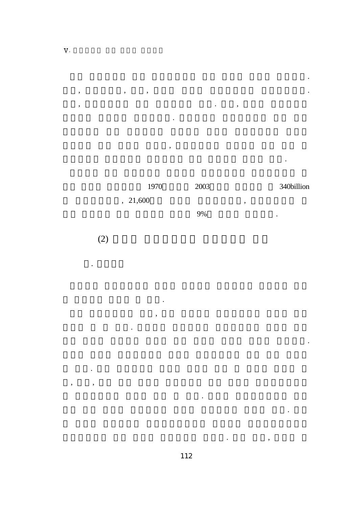1970

, . ,

.

,

.

,

.

, , , .

2003 340billion

.

.

. ,

.

.

,  $21,600$ ,

9% $\sim$  . The set of  $\sim$   $\sim$ 

(2)

.

.

, ,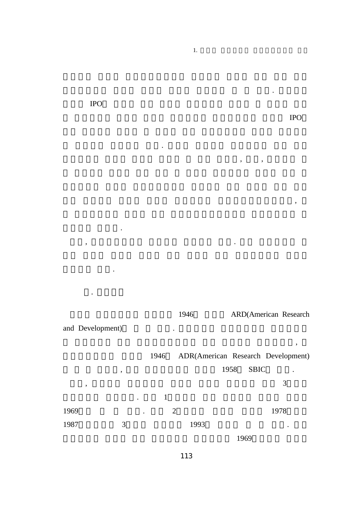IPO

.

.

.

IPO

,

,

.

, ,

1946 ARD(American Research and Development) .

1.

.

,  $\cdot$  .

1946 ADR(American Research Development) , 1958 SBIC . ,  $\overline{\phantom{a}}$ . 1 1969 . 2 1978 1987 $\frac{3}{1993}$  . 1969

113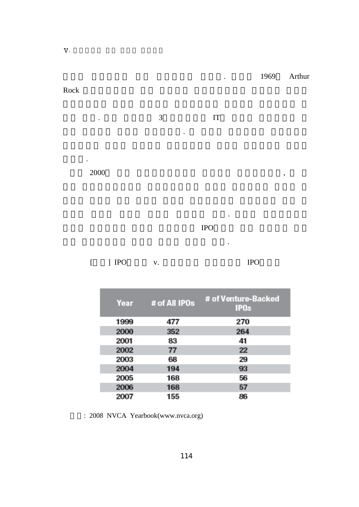| 1969 | Arthur |
|------|--------|



| Year | # of All IPOs | # of Venture-Backed<br><b>IPOs</b> |
|------|---------------|------------------------------------|
| 1999 | 477           | 270                                |
| 2000 | 352           | 264                                |
| 2001 | 83            | 41                                 |
| 2002 | 77            | 22                                 |
| 2003 | 68            | 29                                 |
| 2004 | 194           | 93                                 |
| 2005 | 168           | 56                                 |
| 2006 | 168           | 57                                 |
| 2007 | 155           | 86                                 |

: 2008 NVCA Yearbook(www.nvca.org)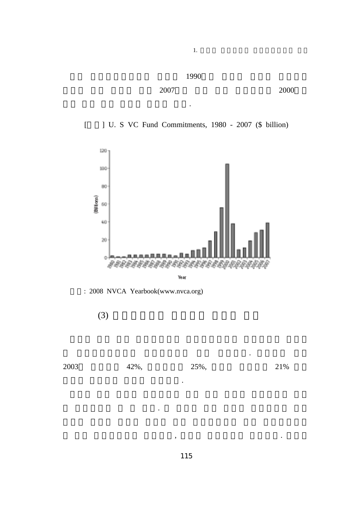

[ ] U. S VC Fund Commitments, 1980 - 2007 (\$ billion)



Year

: 2008 NVCA Yearbook(www.nvca.org)

(3)

2003

.

 $42\%,$   $25\%,$   $21\%$ 

.

, .

1990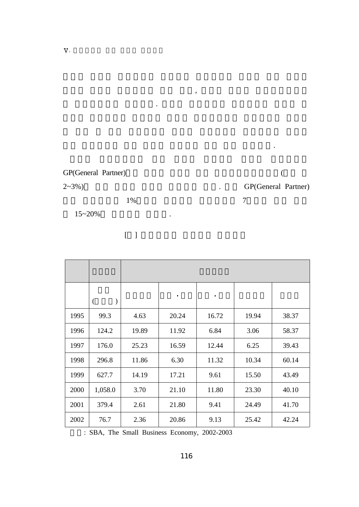## GP(General Partner) (

1%

15~20% $\sim$  . The set of  $\sim$   $\sim$ 

[ ]

|      | $\overline{(}$ |       | $\bullet$ | ٠     |       |       |
|------|----------------|-------|-----------|-------|-------|-------|
| 1995 | 99.3           | 4.63  | 20.24     | 16.72 | 19.94 | 38.37 |
| 1996 | 124.2          | 19.89 | 11.92     | 6.84  | 3.06  | 58.37 |
| 1997 | 176.0          | 25.23 | 16.59     | 12.44 | 6.25  | 39.43 |
| 1998 | 296.8          | 11.86 | 6.30      | 11.32 | 10.34 | 60.14 |
| 1999 | 627.7          | 14.19 | 17.21     | 9.61  | 15.50 | 43.49 |
| 2000 | 1,058.0        | 3.70  | 21.10     | 11.80 | 23.30 | 40.10 |
| 2001 | 379.4          | 2.61  | 21.80     | 9.41  | 24.49 | 41.70 |
| 2002 | 76.7           | 2.36  | 20.86     | 9.13  | 25.42 | 42.24 |

,

.

: SBA, The Small Business Economy, 2002-2003

2~3%) . GP(General Partner)  $\%$  7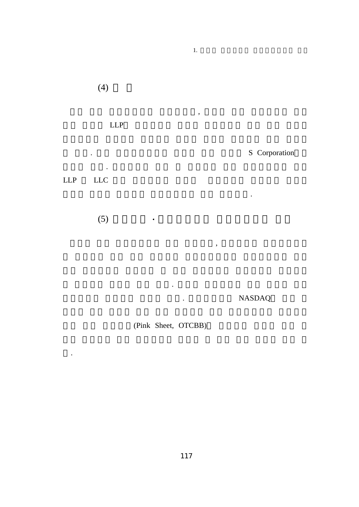(4)

1.

, LLP

. S Corporation

LLP LLC

.

(5)

.

. NASDAQ

.

,

(Pink Sheet, OTCBB)

.

 $\ddot{\bullet}$ 

117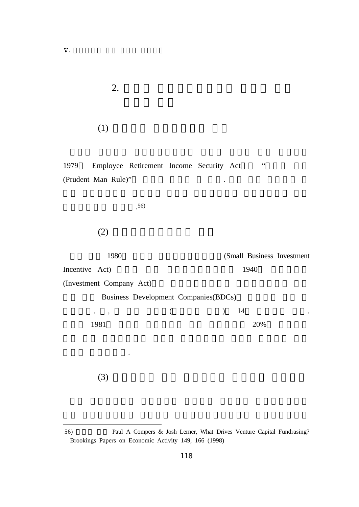(1)

1979Employee Retirement Income Security Act " (Prudent Man Rule)" .

.56)

## (2)

1980 (Small Business Investment Incentive Act) 1940 (Investment Company Act) Business Development Companies(BDCs) . , ( ) 14 . 1981 20%. (3)

<sup>56)</sup> Paul A Compers & Josh Lerner, What Drives Venture Capital Fundrasing? Brookings Papers on Economic Activity 149, 166 (1998)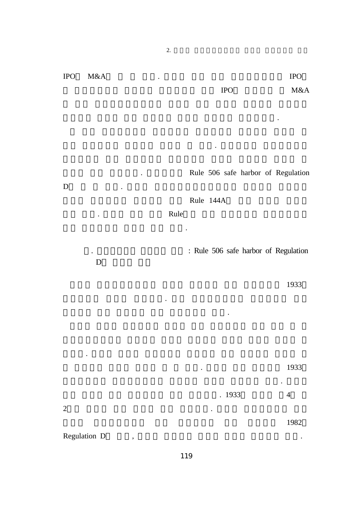IPO

 $\mathbf{D}$  .

D

.

. Rule 506 safe harbor of Regulation

IPO

Rule 144A

.

. Rule

.

.

. : Rule 506 safe harbor of Regulation

.

1933

. 1933

.

. 19334

1982

2 $\blacksquare$  . The contract of the contract of the contract of the contract of the contract of the contract of the contract of the contract of the contract of the contract of the contract of the contract of the contract of the

Regulation D ,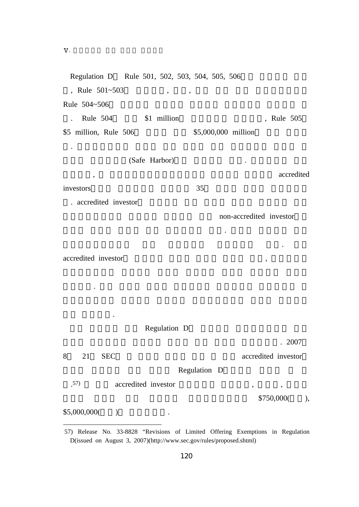, Rule 501~503 , , , Rule 504~506 . Rule 504\$1 million , Rule 505 \$5,000,000 million, Rule 506 \$5,000,000 million . (Safe Harbor) . , accredited investors $\sim$  35 . accredited investor non-accredited investor. . accredited investor $\overline{\mathbf{I}}$ , and the set of  $\mathbf{I}$ , and the set of  $\mathbf{I}$ , and  $\mathbf{I}$ , and  $\mathbf{I}$ . . Regulation D . 20078 21 SEC accredited investor Regulation D .<sup>57)</sup> accredited investor ,  $$750,000($ ,  $$5,000,000($  ) .

Regulation D Rule 501, 502, 503, 504, 505, 506

.

57) Release No. 33-8828 "Revisions of Limited Offering Exemptions in Regulation D(issued on August 3, 2007)(http://www.sec.gov/rules/proposed.shtml)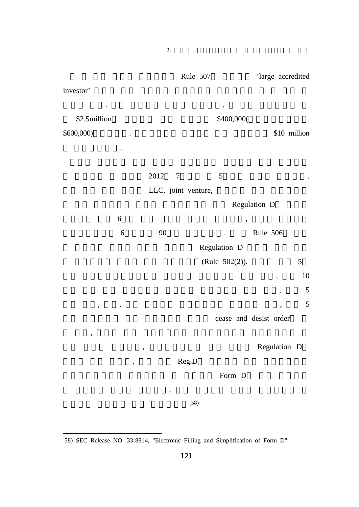|                                       |                        | Rule 507       | 'large accredited      |                |
|---------------------------------------|------------------------|----------------|------------------------|----------------|
| investor'                             |                        |                |                        |                |
| $\bullet$                             |                        | $\, ,$         |                        |                |
| \$2.5million                          |                        | \$400,000(     |                        |                |
| \$600,000                             |                        |                |                        | \$10 million   |
|                                       |                        |                |                        |                |
|                                       |                        |                |                        |                |
|                                       | 2012<br>$\overline{7}$ | 5              |                        | $\bullet$      |
|                                       | LLC, joint venture,    |                |                        |                |
|                                       |                        |                | Regulation D           |                |
| 6                                     |                        | ,              |                        |                |
| 6                                     | 90                     |                | Rule 506               |                |
|                                       |                        | Regulation D   |                        |                |
|                                       |                        | (Rule 502(2)). |                        | $\mathfrak s$  |
|                                       |                        |                | ,                      | 10             |
|                                       |                        |                | ,                      | $\mathfrak s$  |
| $\pmb{\mathfrak{y}}$<br>$\pmb{\cdot}$ |                        |                | ,                      | $\mathfrak{S}$ |
|                                       |                        |                | cease and desist order |                |
| ,                                     |                        |                |                        |                |
|                                       | ,                      |                | Regulation D           |                |
| $\bullet$                             | Reg.D                  |                |                        |                |
|                                       |                        | Form D         |                        |                |

.58)

,

<sup>58)</sup> SEC Release NO. 33-8814, "Electronic Filling and Simplification of Form D"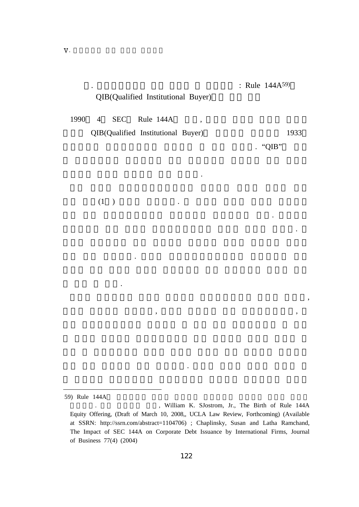#### QIB(Qualified Institutional Buyer)

1990 4 SEC $C$  Rule 144A, QIB(Qualified Institutional Buyer) 1933

.

, ,

. "QIB"

.

.

,

 $(1)$ 

.

.

<sup>59)</sup> Rule 144A

<sup>. ,</sup> William K. SJostrom, Jr., The Birth of Rule 144A Equity Offering, (Draft of March 10, 2008,, UCLA Law Review, Forthcoming) (Available at SSRN: http://ssrn.com/abstract=1104706) ; Chaplinsky, Susan and Latha Ramchand, The Impact of SEC 144A on Corporate Debt Issuance by International Firms, Journal of Business 77(4) (2004)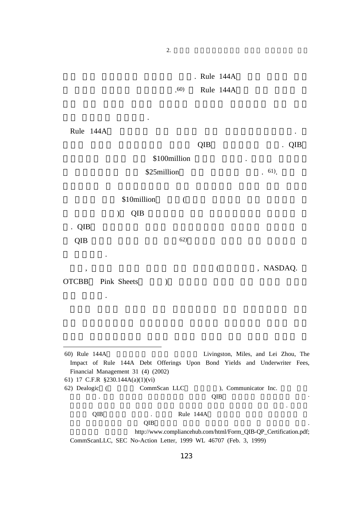|      | . Rule 144A |           |
|------|-------------|-----------|
| (60) |             | Rule 144A |

.

Rule 144A . QIB . QIB \$100million .  $$25$ million  $.61$ . \$10million ( ) QIB . QIB QIB 62) . ,  $\blacksquare$ ,  $\blacksquare$ ,  $\blacksquare$ ,  $\blacksquare$ ,  $\blacksquare$ ,  $\blacksquare$ ,  $\blacksquare$ ,  $\blacksquare$ ,  $\blacksquare$ ,  $\blacksquare$ ,  $\blacksquare$ ,  $\blacksquare$ ,  $\blacksquare$ ,  $\blacksquare$ ,  $\blacksquare$ ,  $\blacksquare$ ,  $\blacksquare$ ,  $\blacksquare$ ,  $\blacksquare$ ,  $\blacksquare$ ,  $\blacksquare$ ,  $\blacksquare$ ,  $\blacksquare$ ,  $\blacksquare$ ,  $\blacksquare$ ,  $\blacksquare$ ,  $\blacksquare$ ,  $\bl$ **OTCBB** Pink Sheets ) .

60) Rule 144A Livingston, Miles, and Lei Zhou, The Impact of Rule 144A Debt Offerings Upon Bond Yields and Underwriter Fees, Financial Management 31 (4) (2002) 61) 17 C.F.R §230.144A(a)(1)(vi) 62) Dealogic ( CommScan LLC ), Communicator Inc. .  $QIB$ . QIB . Rule 144A  $QIB$  . http://www.compliancehub.com/html/Form\_QIB-QP\_Certification.pdf; CommScanLLC, SEC No-Action Letter, 1999 WL 46707 (Feb. 3, 1999)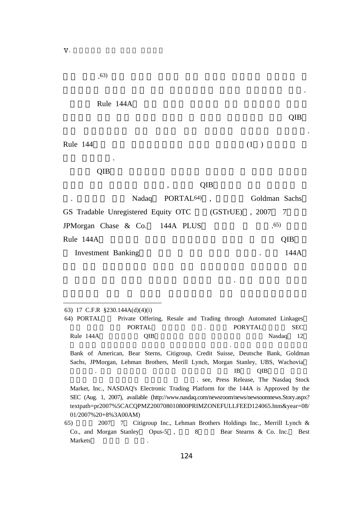.63)

Rule 144A

.

QIB

.

.

Rule 144

(1 )

QIB

# , QIB

Nadaq PORTAL<sup>64)</sup>, Goldman Sachs GS Tradable Unregistered Equity OTC (GSTrUE) , 2007 7 JPMorgan Chase & Co. 144A PLUS .65) Rule 144AA QIB Investment Banking 144A

63) 17 C.F.R §230.144A(d)(4)(i)

64) PORTAL Private Offering, Resale and Trading through Automated Linkages PORTALPORYTAL SEC Rule 144AA QIB Nasdaq 12

Bank of American, Bear Sterns, Citigroup, Credit Suisse, Deutsche Bank, Goldman Sachs, JPMorgan, Lehman Brothers, Merill Lynch, Morgan Stanley, UBS, Wachovia

. IB IB OIB

.

.

. see, Press Release, The Nasdaq Stock Market, Inc., NASDAQ's Electronic Trading Platform for the 144A is Approved by the SEC (Aug. 1, 2007), available (http://www.nasdaq.com/newsroom/news/newsoomnews.Story.aspx? textpath=pr2007%5CACQPMZ200708010800PRIMZONEFULLFEED124065.htm&year=08/ 01/2007%20+8%3A00AM)

65) 2007 7 Citigroup Inc., Lehman Brothers Holdings Inc., Merrill Lynch & Co., and Morgan Stanley Opus-5, 8 Bear Stearns & Co. Inc. Best Markets $\sim$  . The set of  $\sim$  . The set of  $\sim$  . The set of  $\sim$  . The set of  $\sim$  . The set of  $\sim$  . The set of  $\sim$  . The set of  $\sim$  . The set of  $\sim$  . The set of  $\sim$  . The set of  $\sim$  . The set of  $\sim$  . The set of  $\sim$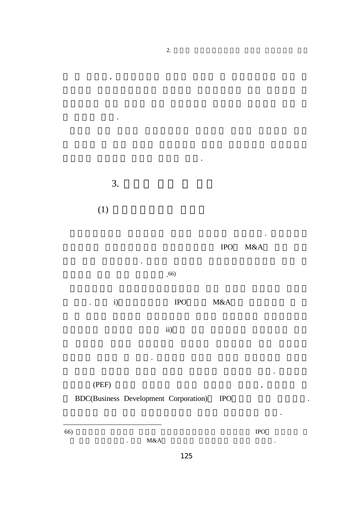

 $\ddot{\phantom{a}}$ 

2.

 $\overline{\phantom{a}}$ 

 $\ddot{\phantom{0}}$ 

3.

 $\mathbf{ii}$ 

## $(PEF)$

**BDC(Business Development Corporation)**  $_{\rm IPO}$ 

 $\ddot{\phantom{a}}$ 

66)

 $M&A$ 

 $\ddot{\phantom{a}}$ 

 $_{\rm IPO}$ 

 $\ddot{\phantom{a}}$ 

 $\overline{a}$ 

 $\ddot{\phantom{0}}$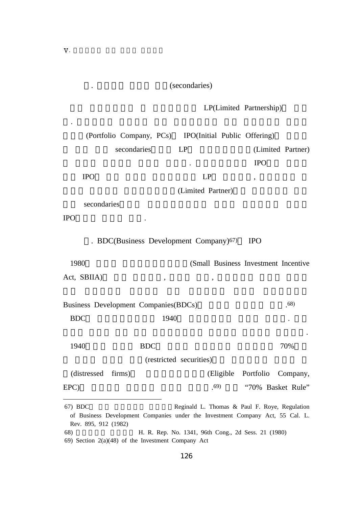#### . (secondaries)

LP(Limited Partnership)

|                                                                                        | (Portfolio Company, PCs) IPO(Initial Public Offering) |                                               |                                      |                   |
|----------------------------------------------------------------------------------------|-------------------------------------------------------|-----------------------------------------------|--------------------------------------|-------------------|
|                                                                                        | secondaries                                           | LP                                            |                                      | (Limited Partner) |
|                                                                                        |                                                       |                                               | <b>IPO</b>                           |                   |
| <b>IPO</b>                                                                             |                                                       | LP                                            | ,                                    |                   |
|                                                                                        |                                                       | (Limited Partner)                             |                                      |                   |
| secondaries                                                                            |                                                       |                                               |                                      |                   |
| <b>IPO</b>                                                                             |                                                       |                                               |                                      |                   |
|                                                                                        | . BDC(Business Development Company) <sup>67)</sup>    |                                               | <b>IPO</b>                           |                   |
| 1980                                                                                   |                                                       |                                               | (Small Business Investment Incentive |                   |
| Act, SBIIA)                                                                            |                                                       | $\overline{\phantom{a}}$                      |                                      |                   |
|                                                                                        |                                                       |                                               |                                      |                   |
| Business Development Companies(BDCs)                                                   |                                                       |                                               |                                      | 68)               |
| <b>BDC</b>                                                                             | 1940                                                  |                                               |                                      |                   |
|                                                                                        |                                                       |                                               |                                      |                   |
| 1940                                                                                   | <b>BDC</b>                                            |                                               |                                      | 70%               |
|                                                                                        |                                                       | (restricted securities)                       |                                      |                   |
| (distressed<br>firms)                                                                  |                                                       |                                               | (Eligible Portfolio Company,         |                   |
| EPC)                                                                                   |                                                       | .69)                                          | "70% Basket Rule"                    |                   |
| 67) BDC<br>of Business Development Companies under the Investment Company Act 55 Col I |                                                       | Reginald L. Thomas & Paul F. Roye, Regulation |                                      |                   |

of Business Development Companies under the Investment Company Act, 55 Cal. L. Rev. 895, 912 (1982) 68) H. R. Rep. No. 1341, 96th Cong., 2d Sess. 21 (1980) 69) Section 2(a)(48) of the Investment Company Act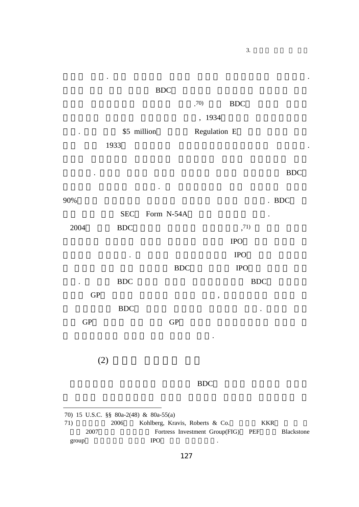| <b>BDC</b>  |              |            |  |
|-------------|--------------|------------|--|
|             | (70)         | <b>BDC</b> |  |
|             | , 1934       |            |  |
| \$5 million | Regulation E |            |  |
| 1022        |              |            |  |

. The contract of the contract of the contract of the contract of the contract of the contract of the contract of the contract of the contract of the contract of the contract of the contract of the contract of the contrac

3.

1933 $\overline{\phantom{a}}$  . The contract of the contract of the contract of the contract of the contract of the contract of the contract of the contract of the contract of the contract of the contract of the contract of the contract of

. BDC **BDC** 

 $\ddot{\phantom{1}}$ 

| 90%        |             |                | . $BDC$     |
|------------|-------------|----------------|-------------|
|            |             | SEC Form N-54A | ٠           |
| 2004       | ${\rm BDC}$ |                | , 71)       |
|            |             |                | <b>IPO</b>  |
|            | $\bullet$   |                | <b>IPO</b>  |
|            |             | <b>BDC</b>     | <b>IPO</b>  |
| $\bullet$  | ${\rm BDC}$ |                | ${\rm BDC}$ |
| ${\bf GP}$ |             |                | ,           |
|            | <b>BDC</b>  |                | $\bullet$   |
| ${\rm GP}$ |             | ${\rm GP}$     |             |
|            |             |                | $\bullet$   |
|            |             |                |             |
| (2)        |             |                |             |
|            |             |                |             |

.

BDC

70) 15 U.S.C. §§ 80a-2(48) & 80a-55(a)

71) 2006 Kohlberg, Kravis, Roberts & Co. KKR 2007 Fortress Investment Group(FIG) PEF Blackstone group **IPO** .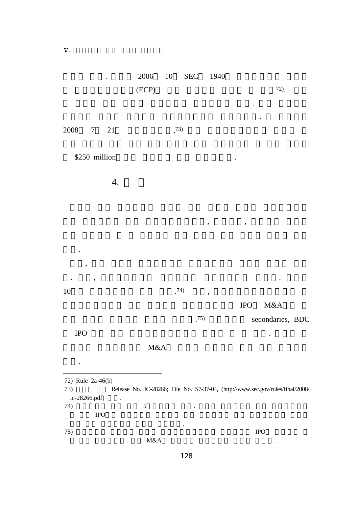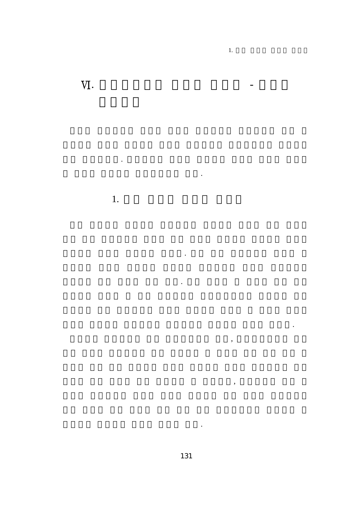VI.

 $1.$ 

 $\ddot{\phantom{0}}$ 

 $\ddot{\phantom{0}}$ 

 $\overline{1}$ .

 $\overline{\phantom{a}}$ 

 $\overline{\phantom{a}}$ 

 $\ddot{\phantom{0}}$ 

 $\blacksquare$ 

 $\ddot{\phantom{0}}$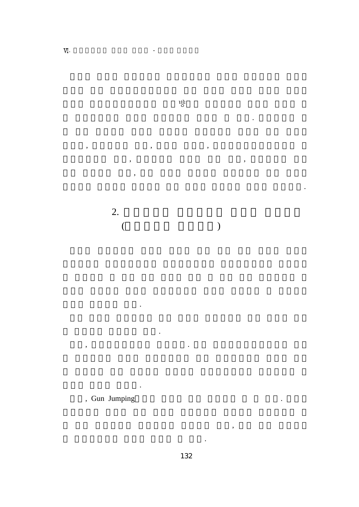$\overline{\phantom{a}}$ 



 $\overline{\phantom{a}}$ 

,

 $\ddot{\phantom{0}}$ 

## $2.$  $\overline{a}$  $\overline{\phantom{a}}$

,

,

ł,



 $\ddot{\phantom{0}}$ 

 $\ddot{\phantom{0}}$ 

 $\overline{\phantom{a}}$ 

J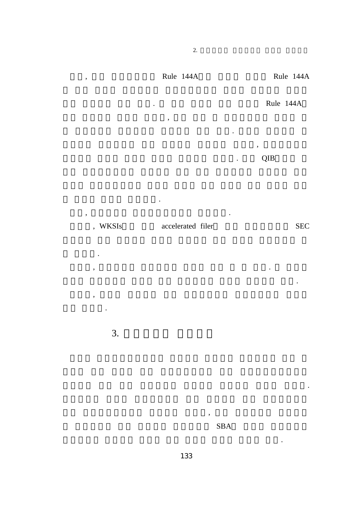# , Rule 144A Rule 144A

,

.

, .

2.

.

.

.

. Rule 144A

. QIB

,

.

| , WKSIs | accelerated filer |  | <b>SEC</b> |
|---------|-------------------|--|------------|
|---------|-------------------|--|------------|

,  $\cdot$  .

3.

.

.

,

SBA

,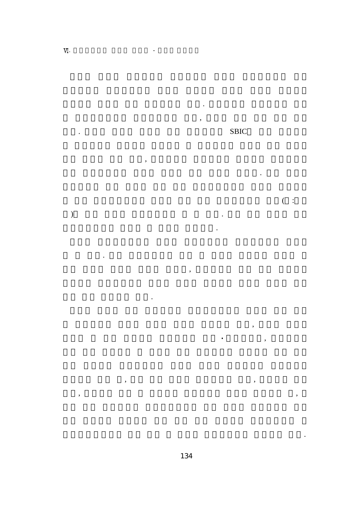$\overline{\phantom{a}}$ 

SBIC

.

,

 $(\quad :$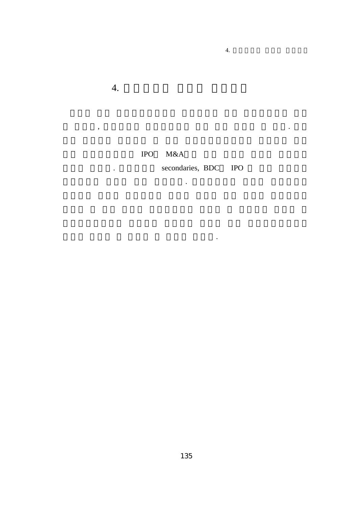$\sim 10^{-1}$ 

 $\overline{\phantom{a}}$ 

#### IPO M&A

secondaries, BDC IPO

 $\sim 10^{-11}$ 

 $\sim$   $\sim$ 

 $\overline{4}$ .

 $\sim 10^{-11}$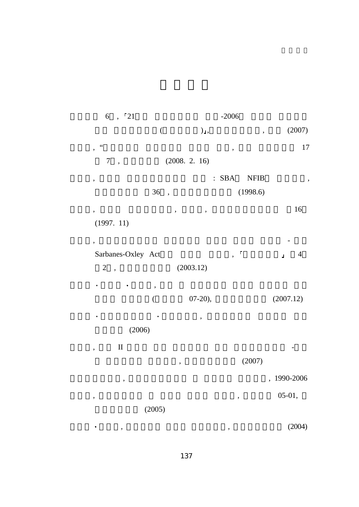| $, r_{21}$<br>$\boldsymbol{6}$               |                                |                          | $-2006$ |             |                                       |
|----------------------------------------------|--------------------------------|--------------------------|---------|-------------|---------------------------------------|
|                                              | $\big($                        | ),                       |         | ,           | (2007)                                |
| $\zeta\,\zeta$<br>,                          |                                |                          | ,       |             | $17\,$                                |
| $\boldsymbol{7}$<br>$\overline{\phantom{a}}$ |                                | (2008. 2. 16)            |         |             |                                       |
| ,                                            |                                |                          | $:$ SBA | <b>NFIB</b> |                                       |
|                                              | 36<br>$\overline{\phantom{a}}$ |                          |         | (1998.6)    |                                       |
| ,                                            | ,                              | ,                        |         |             | 16                                    |
| (1997. 11)                                   |                                |                          |         |             |                                       |
| ,                                            |                                |                          |         |             |                                       |
| Sarbanes-Oxley Act                           |                                |                          | ,       | г           | $\overline{4}$<br>$\mathbf{J}$        |
| $\sqrt{2}$<br>$\overline{\phantom{a}}$       |                                | (2003.12)                |         |             |                                       |
| ٠                                            | $\,$                           |                          |         |             |                                       |
|                                              | $\overline{(}$                 | $07-20$ ),               |         |             | (2007.12)                             |
| $\bullet$                                    |                                | $\overline{\phantom{a}}$ |         |             |                                       |
| (2006)                                       |                                |                          |         |             |                                       |
| $\rm II$<br>,                                |                                |                          |         |             |                                       |
|                                              |                                | ,                        |         | (2007)      |                                       |
| ,                                            |                                |                          |         |             | 1990-2006<br>$\overline{\phantom{a}}$ |
| ,                                            |                                |                          | ,       |             | $05-01,$                              |
|                                              | (2005)                         |                          |         |             |                                       |
| $\pmb{\cdot}$                                |                                |                          | $\, ,$  |             | (2004)                                |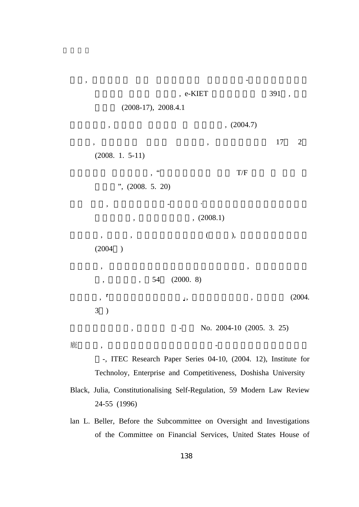|                                  | , e-KIET      |                           | 391<br>$\overline{\phantom{a}}$ |
|----------------------------------|---------------|---------------------------|---------------------------------|
| $(2008-17), 2008.4.1$            |               |                           |                                 |
| $\, ,$                           |               | , (2004.7)                |                                 |
| $\, ,$                           | $^\mathrm{o}$ |                           | 17<br>$\overline{2}$            |
| $(2008. 1. 5-11)$                |               |                           |                                 |
| $\leftrightsquigarrow$<br>,      |               | $\mathrm{T}/\mathrm{F}$   |                                 |
| ", (2008. 5. 20)                 |               |                           |                                 |
| ,                                |               |                           |                                 |
| $\pmb{\cdot}$                    | , (2008.1)    |                           |                                 |
| $^\mathrm{o}$<br>$^\mathrm{o}$   | $\left($      | ),                        |                                 |
| (2004)                           |               |                           |                                 |
| ,                                |               | ,                         |                                 |
| , 54<br>$\overline{\phantom{a}}$ | (2000.8)      |                           |                                 |
| r<br>$\overline{\phantom{a}}$    | J,            | $\, ,$                    | (2004.                          |
| 3 <sup>7</sup><br>$\mathcal{E}$  |               |                           |                                 |
| $\,$                             |               | No. 2004-10 (2005. 3. 25) |                                 |

-

廘, -

,

-, ITEC Research Paper Series 04-10, (2004. 12), Institute for Technoloy, Enterprise and Competitiveness, Doshisha University

Black, Julia, Constitutionalising Self-Regulation, 59 Modern Law Review 24-55 (1996)

lan L. Beller, Before the Subcommittee on Oversight and Investigations of the Committee on Financial Services, United States House of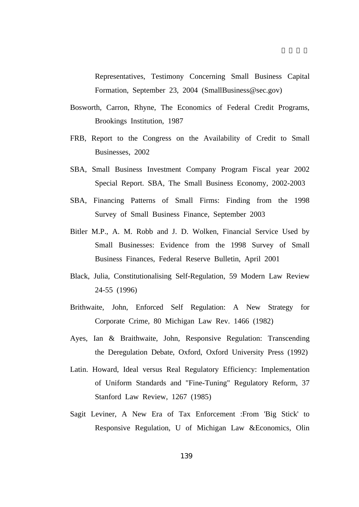Representatives, Testimony Concerning Small Business Capital Formation, September 23, 2004 (SmallBusiness@sec.gov)

- Bosworth, Carron, Rhyne, The Economics of Federal Credit Programs, Brookings Institution, 1987
- FRB, Report to the Congress on the Availability of Credit to Small Businesses, 2002
- SBA, Small Business Investment Company Program Fiscal year 2002 Special Report. SBA, The Small Business Economy, 2002-2003
- SBA, Financing Patterns of Small Firms: Finding from the 1998 Survey of Small Business Finance, September 2003
- Bitler M.P., A. M. Robb and J. D. Wolken, Financial Service Used by Small Businesses: Evidence from the 1998 Survey of Small Business Finances, Federal Reserve Bulletin, April 2001
- Black, Julia, Constitutionalising Self-Regulation, 59 Modern Law Review 24-55 (1996)
- Brithwaite, John, Enforced Self Regulation: A New Strategy for Corporate Crime, 80 Michigan Law Rev. 1466 (1982)
- Ayes, Ian & Braithwaite, John, Responsive Regulation: Transcending the Deregulation Debate, Oxford, Oxford University Press (1992)
- Latin. Howard, Ideal versus Real Regulatory Efficiency: Implementation of Uniform Standards and "Fine-Tuning" Regulatory Reform, 37 Stanford Law Review, 1267 (1985)
- Sagit Leviner, A New Era of Tax Enforcement :From 'Big Stick' to Responsive Regulation, U of Michigan Law &Economics, Olin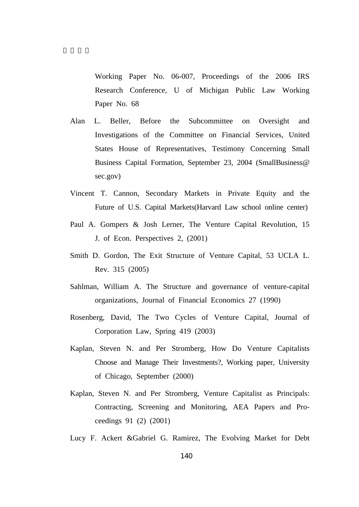Working Paper No. 06-007, Proceedings of the 2006 IRS Research Conference, U of Michigan Public Law Working Paper No. 68

- Alan L. Beller, Before the Subcommittee on Oversight and Investigations of the Committee on Financial Services, United States House of Representatives, Testimony Concerning Small Business Capital Formation, September 23, 2004 (SmallBusiness@ sec.gov)
- Vincent T. Cannon, Secondary Markets in Private Equity and the Future of U.S. Capital Markets(Harvard Law school online center)
- Paul A. Gompers & Josh Lerner, The Venture Capital Revolution, 15 J. of Econ. Perspectives 2, (2001)
- Smith D. Gordon, The Exit Structure of Venture Capital, 53 UCLA L. Rev. 315 (2005)
- Sahlman, William A. The Structure and governance of venture-capital organizations, Journal of Financial Economics 27 (1990)
- Rosenberg, David, The Two Cycles of Venture Capital, Journal of Corporation Law, Spring 419 (2003)
- Kaplan, Steven N. and Per Stromberg, How Do Venture Capitalists Choose and Manage Their Investments?, Working paper, University of Chicago, September (2000)
- Kaplan, Steven N. and Per Stromberg, Venture Capitalist as Principals: Contracting, Screening and Monitoring, AEA Papers and Proceedings 91 (2) (2001)

Lucy F. Ackert &Gabriel G. Ramirez, The Evolving Market for Debt